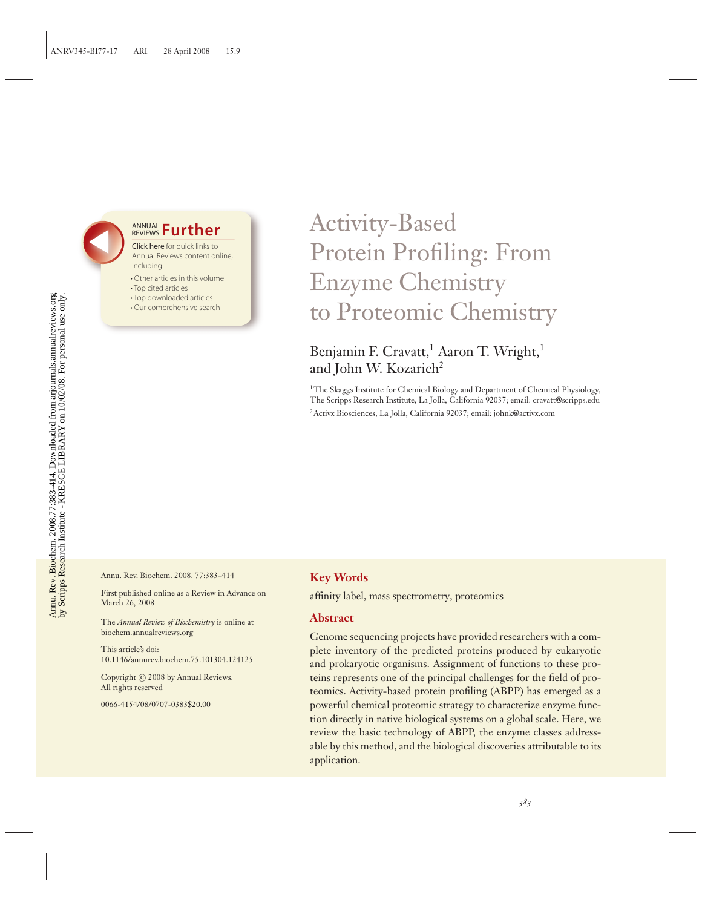# **REVIEWS Further**

Click here for quick links to Annual Reviews content online, including:

- Other articles in this volume
- Top cited articles
- Top downloaded articles
- Our comprehensive search

# Activity-Based Protein Profiling: From Enzyme Chemistry to Proteomic Chemistry

# Benjamin F. Cravatt,<sup>1</sup> Aaron T. Wright,<sup>1</sup> and John W. Kozarich<sup>2</sup>

<sup>1</sup>The Skaggs Institute for Chemical Biology and Department of Chemical Physiology, The Scripps Research Institute, La Jolla, California 92037; email: cravatt@scripps.edu 2Activx Biosciences, La Jolla, California 92037; email: johnk@activx.com

Annu. Rev. Biochem. 2008. 77:383–414

First published online as a Review in Advance on March 26, 2008

The *Annual Review of Biochemistry* is online at biochem.annualreviews.org

This article's doi: 10.1146/annurev.biochem.75.101304.124125

Copyright © 2008 by Annual Reviews. All rights reserved

0066-4154/08/0707-0383\$20.00

## **Key Words**

affinity label, mass spectrometry, proteomics

#### **Abstract**

Genome sequencing projects have provided researchers with a complete inventory of the predicted proteins produced by eukaryotic and prokaryotic organisms. Assignment of functions to these proteins represents one of the principal challenges for the field of proteomics. Activity-based protein profiling (ABPP) has emerged as a powerful chemical proteomic strategy to characterize enzyme function directly in native biological systems on a global scale. Here, we review the basic technology of ABPP, the enzyme classes addressable by this method, and the biological discoveries attributable to its application.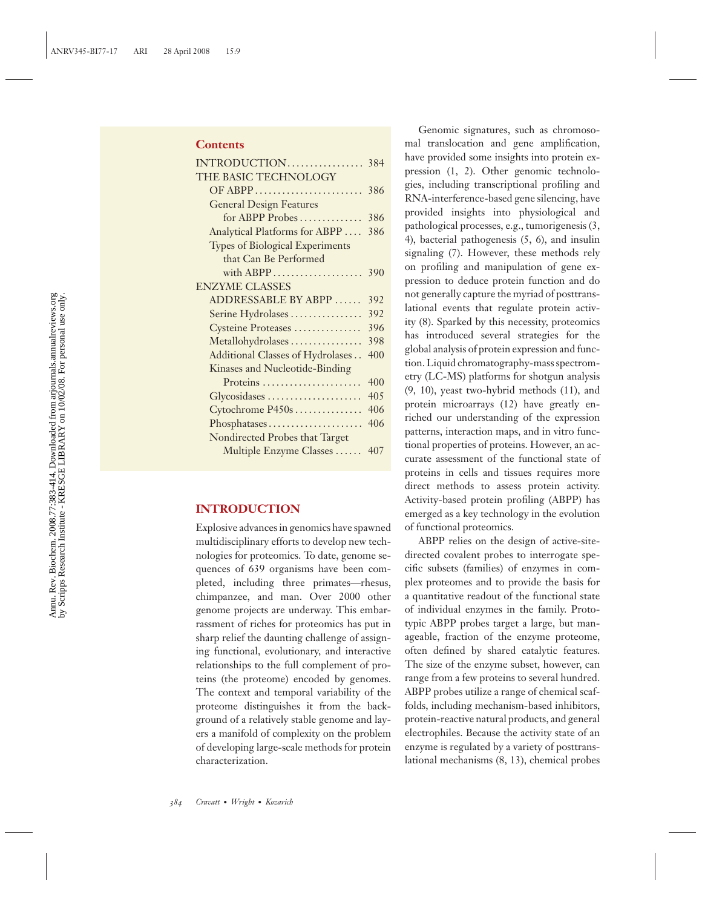### **Contents**

| INTRODUCTION                           | 384 |
|----------------------------------------|-----|
| THE BASIC TECHNOLOGY                   |     |
|                                        | 386 |
| <b>General Design Features</b>         |     |
| for ABPP Probes                        | 386 |
| Analytical Platforms for ABPP          | 386 |
| <b>Types of Biological Experiments</b> |     |
| that Can Be Performed                  |     |
| with ABPP                              | 390 |
| <b>ENZYME CLASSES</b>                  |     |
| ADDRESSABLE BY ABPP                    | 392 |
| Serine Hydrolases                      | 392 |
| Cysteine Proteases                     | 396 |
| Metallohydrolases                      | 398 |
| Additional Classes of Hydrolases       | 400 |
| Kinases and Nucleotide-Binding         |     |
| Proteins                               | 400 |
| Glycosidases                           | 405 |
| Cytochrome P450s                       | 406 |
| Phosphatases                           | 406 |
| Nondirected Probes that Target         |     |
| Multiple Enzyme Classes                | 407 |

## **INTRODUCTION**

Explosive advances in genomics have spawned multidisciplinary efforts to develop new technologies for proteomics. To date, genome sequences of 639 organisms have been completed, including three primates—rhesus, chimpanzee, and man. Over 2000 other genome projects are underway. This embarrassment of riches for proteomics has put in sharp relief the daunting challenge of assigning functional, evolutionary, and interactive relationships to the full complement of proteins (the proteome) encoded by genomes. The context and temporal variability of the proteome distinguishes it from the background of a relatively stable genome and layers a manifold of complexity on the problem of developing large-scale methods for protein characterization.

Genomic signatures, such as chromosomal translocation and gene amplification, have provided some insights into protein expression (1, 2). Other genomic technologies, including transcriptional profiling and RNA-interference-based gene silencing, have provided insights into physiological and pathological processes, e.g., tumorigenesis (3, 4), bacterial pathogenesis (5, 6), and insulin signaling (7). However, these methods rely on profiling and manipulation of gene expression to deduce protein function and do not generally capture the myriad of posttranslational events that regulate protein activity (8). Sparked by this necessity, proteomics has introduced several strategies for the global analysis of protein expression and function. Liquid chromatography-mass spectrometry (LC-MS) platforms for shotgun analysis (9, 10), yeast two-hybrid methods (11), and protein microarrays (12) have greatly enriched our understanding of the expression patterns, interaction maps, and in vitro functional properties of proteins. However, an accurate assessment of the functional state of proteins in cells and tissues requires more direct methods to assess protein activity. Activity-based protein profiling (ABPP) has emerged as a key technology in the evolution of functional proteomics.

ABPP relies on the design of active-sitedirected covalent probes to interrogate specific subsets (families) of enzymes in complex proteomes and to provide the basis for a quantitative readout of the functional state of individual enzymes in the family. Prototypic ABPP probes target a large, but manageable, fraction of the enzyme proteome, often defined by shared catalytic features. The size of the enzyme subset, however, can range from a few proteins to several hundred. ABPP probes utilize a range of chemical scaffolds, including mechanism-based inhibitors, protein-reactive natural products, and general electrophiles. Because the activity state of an enzyme is regulated by a variety of posttranslational mechanisms (8, 13), chemical probes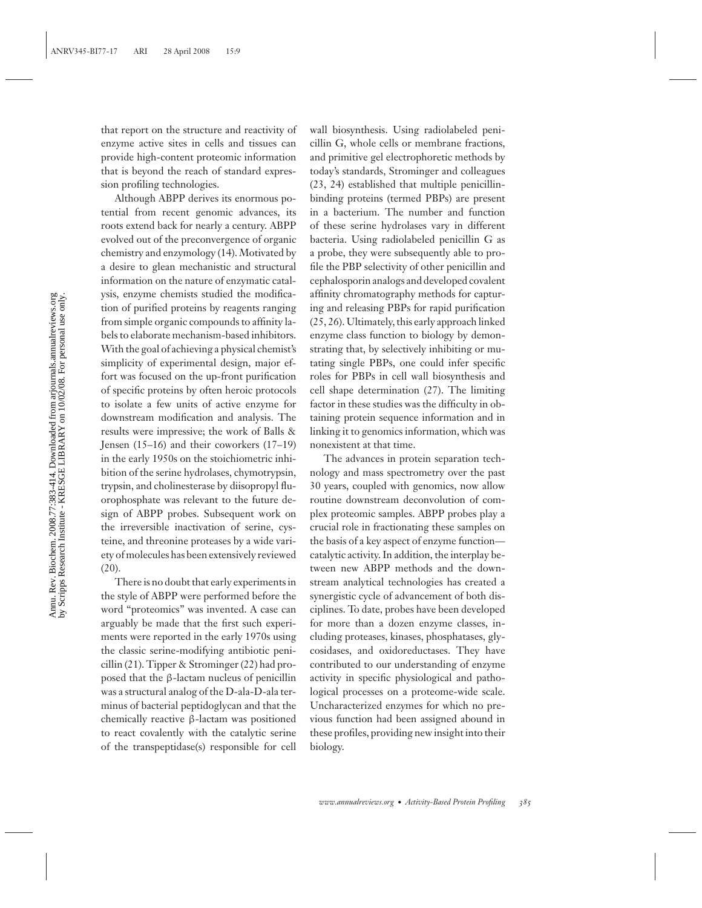that report on the structure and reactivity of enzyme active sites in cells and tissues can provide high-content proteomic information that is beyond the reach of standard expression profiling technologies.

Although ABPP derives its enormous potential from recent genomic advances, its roots extend back for nearly a century. ABPP evolved out of the preconvergence of organic chemistry and enzymology (14). Motivated by a desire to glean mechanistic and structural information on the nature of enzymatic catalysis, enzyme chemists studied the modification of purified proteins by reagents ranging from simple organic compounds to affinity labels to elaborate mechanism-based inhibitors. With the goal of achieving a physical chemist's simplicity of experimental design, major effort was focused on the up-front purification of specific proteins by often heroic protocols to isolate a few units of active enzyme for downstream modification and analysis. The results were impressive; the work of Balls & Jensen (15–16) and their coworkers (17–19) in the early 1950s on the stoichiometric inhibition of the serine hydrolases, chymotrypsin, trypsin, and cholinesterase by diisopropyl fluorophosphate was relevant to the future design of ABPP probes. Subsequent work on the irreversible inactivation of serine, cysteine, and threonine proteases by a wide variety of molecules has been extensively reviewed  $(20)$ .

There is no doubt that early experiments in the style of ABPP were performed before the word "proteomics" was invented. A case can arguably be made that the first such experiments were reported in the early 1970s using the classic serine-modifying antibiotic penicillin (21). Tipper & Strominger (22) had proposed that the β-lactam nucleus of penicillin was a structural analog of the D-ala-D-ala terminus of bacterial peptidoglycan and that the chemically reactive β-lactam was positioned to react covalently with the catalytic serine of the transpeptidase(s) responsible for cell

wall biosynthesis. Using radiolabeled penicillin G, whole cells or membrane fractions, and primitive gel electrophoretic methods by today's standards, Strominger and colleagues (23, 24) established that multiple penicillinbinding proteins (termed PBPs) are present in a bacterium. The number and function of these serine hydrolases vary in different bacteria. Using radiolabeled penicillin G as a probe, they were subsequently able to profile the PBP selectivity of other penicillin and cephalosporin analogs and developed covalent affinity chromatography methods for capturing and releasing PBPs for rapid purification (25, 26). Ultimately, this early approach linked enzyme class function to biology by demonstrating that, by selectively inhibiting or mutating single PBPs, one could infer specific roles for PBPs in cell wall biosynthesis and cell shape determination (27). The limiting factor in these studies was the difficulty in obtaining protein sequence information and in linking it to genomics information, which was nonexistent at that time.

The advances in protein separation technology and mass spectrometry over the past 30 years, coupled with genomics, now allow routine downstream deconvolution of complex proteomic samples. ABPP probes play a crucial role in fractionating these samples on the basis of a key aspect of enzyme function catalytic activity. In addition, the interplay between new ABPP methods and the downstream analytical technologies has created a synergistic cycle of advancement of both disciplines. To date, probes have been developed for more than a dozen enzyme classes, including proteases, kinases, phosphatases, glycosidases, and oxidoreductases. They have contributed to our understanding of enzyme activity in specific physiological and pathological processes on a proteome-wide scale. Uncharacterized enzymes for which no previous function had been assigned abound in these profiles, providing new insight into their biology.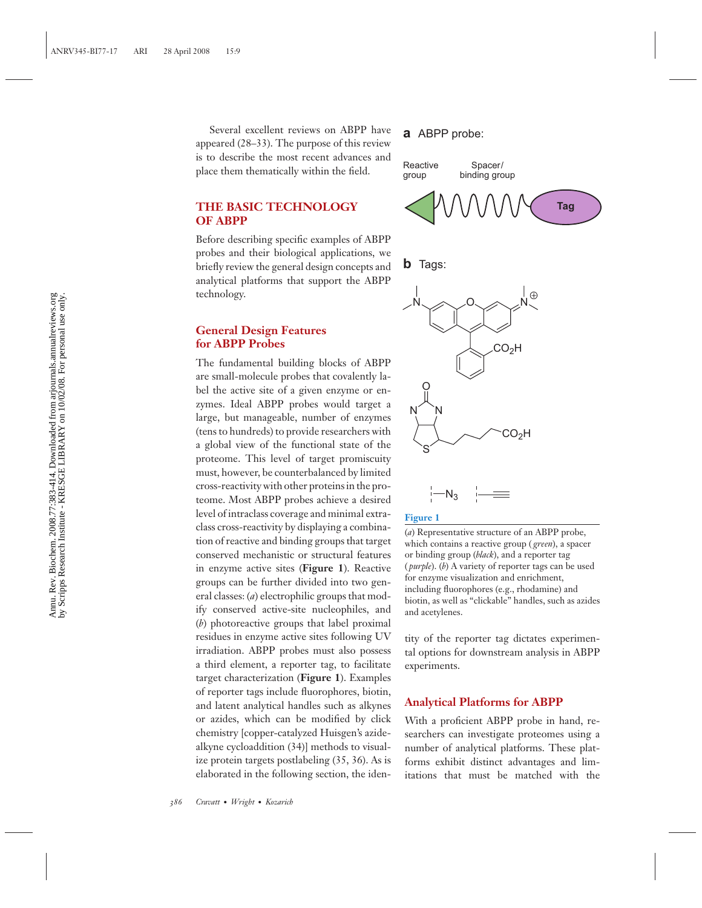Several excellent reviews on ABPP have appeared (28–33). The purpose of this review is to describe the most recent advances and place them thematically within the field.

## **THE BASIC TECHNOLOGY OF ABPP**

Before describing specific examples of ABPP probes and their biological applications, we briefly review the general design concepts and analytical platforms that support the ABPP technology.

## **General Design Features for ABPP Probes**

The fundamental building blocks of ABPP are small-molecule probes that covalently label the active site of a given enzyme or enzymes. Ideal ABPP probes would target a large, but manageable, number of enzymes (tens to hundreds) to provide researchers with a global view of the functional state of the proteome. This level of target promiscuity must, however, be counterbalanced by limited cross-reactivity with other proteins in the proteome. Most ABPP probes achieve a desired level of intraclass coverage and minimal extraclass cross-reactivity by displaying a combination of reactive and binding groups that target conserved mechanistic or structural features in enzyme active sites (**Figure 1**). Reactive groups can be further divided into two general classes: (*a*) electrophilic groups that modify conserved active-site nucleophiles, and (*b*) photoreactive groups that label proximal residues in enzyme active sites following UV irradiation. ABPP probes must also possess a third element, a reporter tag, to facilitate target characterization (**Figure 1**). Examples of reporter tags include fluorophores, biotin, and latent analytical handles such as alkynes or azides, which can be modified by click chemistry [copper-catalyzed Huisgen's azidealkyne cycloaddition (34)] methods to visualize protein targets postlabeling (35, 36). As is elaborated in the following section, the iden-

## **a** ABPP probe:



#### **Figure 1**

(*a*) Representative structure of an ABPP probe, which contains a reactive group ( *green*), a spacer or binding group (*black*), and a reporter tag ( *purple*). (*b*) A variety of reporter tags can be used for enzyme visualization and enrichment, including fluorophores (e.g., rhodamine) and biotin, as well as "clickable" handles, such as azides and acetylenes.

tity of the reporter tag dictates experimental options for downstream analysis in ABPP experiments.

## **Analytical Platforms for ABPP**

With a proficient ABPP probe in hand, researchers can investigate proteomes using a number of analytical platforms. These platforms exhibit distinct advantages and limitations that must be matched with the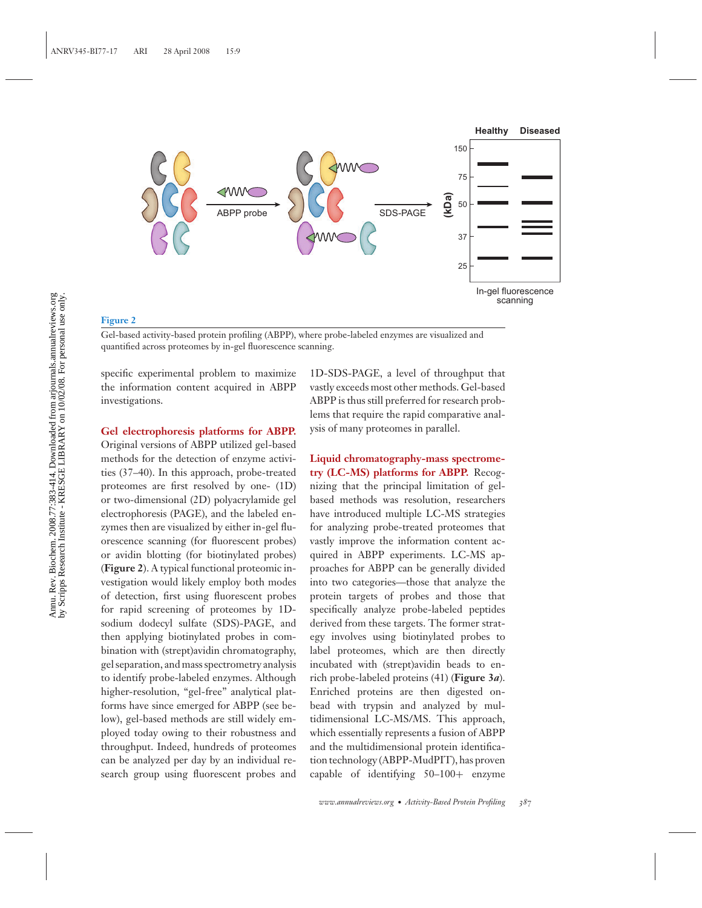

Gel-based activity-based protein profiling (ABPP), where probe-labeled enzymes are visualized and quantified across proteomes by in-gel fluorescence scanning.

specific experimental problem to maximize the information content acquired in ABPP investigations.

#### **Gel electrophoresis platforms for ABPP.**

Original versions of ABPP utilized gel-based methods for the detection of enzyme activities (37–40). In this approach, probe-treated proteomes are first resolved by one- (1D) or two-dimensional (2D) polyacrylamide gel electrophoresis (PAGE), and the labeled enzymes then are visualized by either in-gel fluorescence scanning (for fluorescent probes) or avidin blotting (for biotinylated probes) (**Figure 2**). A typical functional proteomic investigation would likely employ both modes of detection, first using fluorescent probes for rapid screening of proteomes by 1Dsodium dodecyl sulfate (SDS)-PAGE, and then applying biotinylated probes in combination with (strept)avidin chromatography, gel separation, and mass spectrometry analysis to identify probe-labeled enzymes. Although higher-resolution, "gel-free" analytical platforms have since emerged for ABPP (see below), gel-based methods are still widely employed today owing to their robustness and throughput. Indeed, hundreds of proteomes can be analyzed per day by an individual research group using fluorescent probes and

1D-SDS-PAGE, a level of throughput that vastly exceeds most other methods. Gel-based ABPP is thus still preferred for research problems that require the rapid comparative analysis of many proteomes in parallel.

**Liquid chromatography-mass spectrometry (LC-MS) platforms for ABPP.** Recognizing that the principal limitation of gelbased methods was resolution, researchers have introduced multiple LC-MS strategies for analyzing probe-treated proteomes that vastly improve the information content acquired in ABPP experiments. LC-MS approaches for ABPP can be generally divided into two categories—those that analyze the protein targets of probes and those that specifically analyze probe-labeled peptides derived from these targets. The former strategy involves using biotinylated probes to label proteomes, which are then directly incubated with (strept)avidin beads to enrich probe-labeled proteins (41) (**Figure 3***a*). Enriched proteins are then digested onbead with trypsin and analyzed by multidimensional LC-MS/MS. This approach, which essentially represents a fusion of ABPP and the multidimensional protein identification technology (ABPP-MudPIT), has proven capable of identifying  $50-100+$  enzyme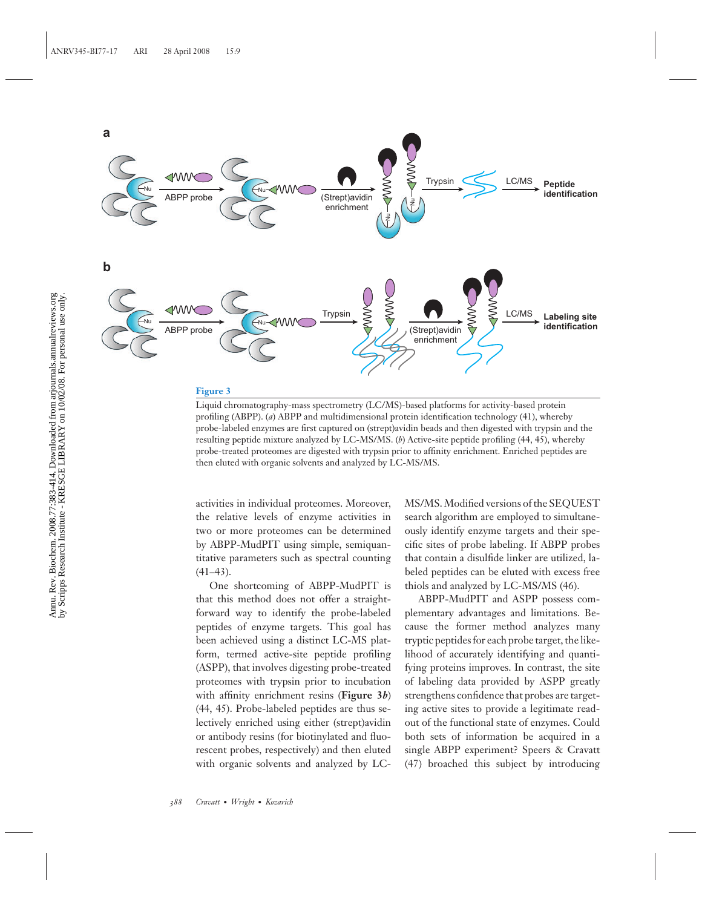

Liquid chromatography-mass spectrometry (LC/MS)-based platforms for activity-based protein profiling (ABPP). (*a*) ABPP and multidimensional protein identification technology (41), whereby probe-labeled enzymes are first captured on (strept)avidin beads and then digested with trypsin and the resulting peptide mixture analyzed by LC-MS/MS. (*b*) Active-site peptide profiling (44, 45), whereby probe-treated proteomes are digested with trypsin prior to affinity enrichment. Enriched peptides are then eluted with organic solvents and analyzed by LC-MS/MS.

activities in individual proteomes. Moreover, the relative levels of enzyme activities in two or more proteomes can be determined by ABPP-MudPIT using simple, semiquantitative parameters such as spectral counting  $(41-43)$ .

One shortcoming of ABPP-MudPIT is that this method does not offer a straightforward way to identify the probe-labeled peptides of enzyme targets. This goal has been achieved using a distinct LC-MS platform, termed active-site peptide profiling (ASPP), that involves digesting probe-treated proteomes with trypsin prior to incubation with affinity enrichment resins (**Figure 3***b*) (44, 45). Probe-labeled peptides are thus selectively enriched using either (strept)avidin or antibody resins (for biotinylated and fluorescent probes, respectively) and then eluted with organic solvents and analyzed by LC- MS/MS. Modified versions of the SEQUEST search algorithm are employed to simultaneously identify enzyme targets and their specific sites of probe labeling. If ABPP probes that contain a disulfide linker are utilized, labeled peptides can be eluted with excess free thiols and analyzed by LC-MS/MS (46).

ABPP-MudPIT and ASPP possess complementary advantages and limitations. Because the former method analyzes many tryptic peptides for each probe target, the likelihood of accurately identifying and quantifying proteins improves. In contrast, the site of labeling data provided by ASPP greatly strengthens confidence that probes are targeting active sites to provide a legitimate readout of the functional state of enzymes. Could both sets of information be acquired in a single ABPP experiment? Speers & Cravatt (47) broached this subject by introducing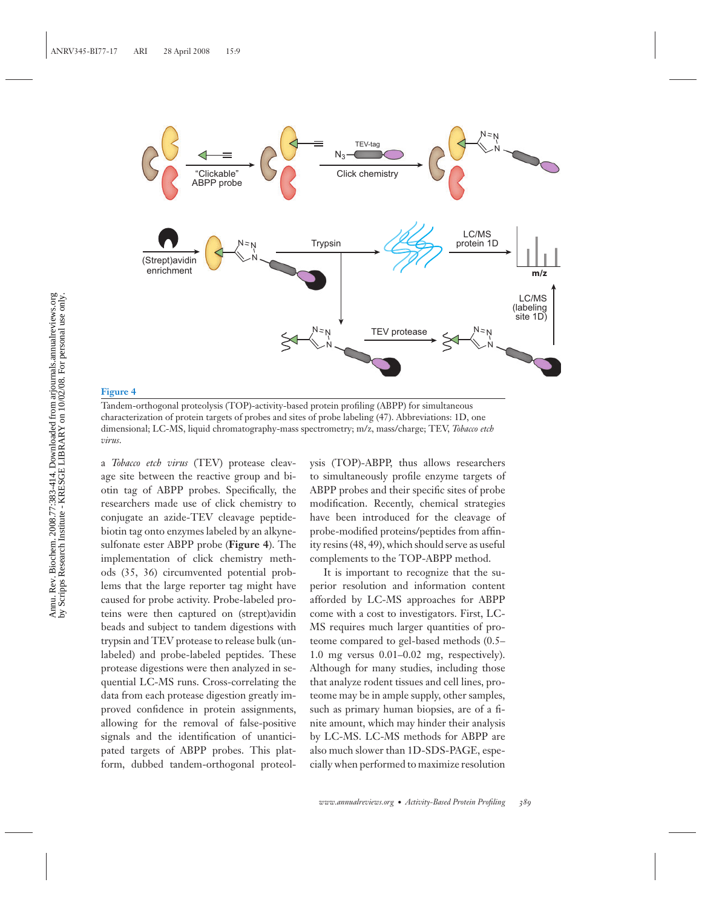

Tandem-orthogonal proteolysis (TOP)-activity-based protein profiling (ABPP) for simultaneous characterization of protein targets of probes and sites of probe labeling (47). Abbreviations: 1D, one dimensional; LC-MS, liquid chromatography-mass spectrometry; m/z, mass/charge; TEV, *Tobacco etch virus*.

a *Tobacco etch virus* (TEV) protease cleavage site between the reactive group and biotin tag of ABPP probes. Specifically, the researchers made use of click chemistry to conjugate an azide-TEV cleavage peptidebiotin tag onto enzymes labeled by an alkynesulfonate ester ABPP probe (**Figure 4**). The implementation of click chemistry methods (35, 36) circumvented potential problems that the large reporter tag might have caused for probe activity. Probe-labeled proteins were then captured on (strept)avidin beads and subject to tandem digestions with trypsin and TEV protease to release bulk (unlabeled) and probe-labeled peptides. These protease digestions were then analyzed in sequential LC-MS runs. Cross-correlating the data from each protease digestion greatly improved confidence in protein assignments, allowing for the removal of false-positive signals and the identification of unanticipated targets of ABPP probes. This platform, dubbed tandem-orthogonal proteolysis (TOP)-ABPP, thus allows researchers to simultaneously profile enzyme targets of ABPP probes and their specific sites of probe modification. Recently, chemical strategies have been introduced for the cleavage of probe-modified proteins/peptides from affinity resins (48, 49), which should serve as useful complements to the TOP-ABPP method.

It is important to recognize that the superior resolution and information content afforded by LC-MS approaches for ABPP come with a cost to investigators. First, LC-MS requires much larger quantities of proteome compared to gel-based methods (0.5– 1.0 mg versus 0.01–0.02 mg, respectively). Although for many studies, including those that analyze rodent tissues and cell lines, proteome may be in ample supply, other samples, such as primary human biopsies, are of a finite amount, which may hinder their analysis by LC-MS. LC-MS methods for ABPP are also much slower than 1D-SDS-PAGE, especially when performed to maximize resolution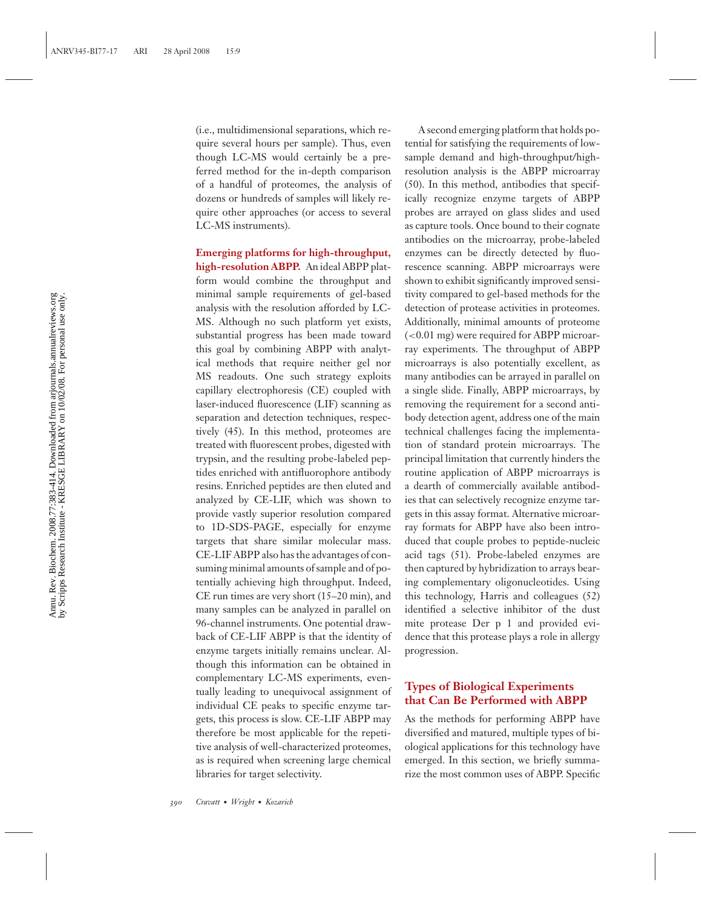(i.e., multidimensional separations, which require several hours per sample). Thus, even though LC-MS would certainly be a preferred method for the in-depth comparison of a handful of proteomes, the analysis of dozens or hundreds of samples will likely require other approaches (or access to several LC-MS instruments).

**Emerging platforms for high-throughput, high-resolution ABPP.** An ideal ABPP platform would combine the throughput and minimal sample requirements of gel-based analysis with the resolution afforded by LC-MS. Although no such platform yet exists, substantial progress has been made toward this goal by combining ABPP with analytical methods that require neither gel nor MS readouts. One such strategy exploits capillary electrophoresis (CE) coupled with laser-induced fluorescence (LIF) scanning as separation and detection techniques, respectively (45). In this method, proteomes are treated with fluorescent probes, digested with trypsin, and the resulting probe-labeled peptides enriched with antifluorophore antibody resins. Enriched peptides are then eluted and analyzed by CE-LIF, which was shown to provide vastly superior resolution compared to 1D-SDS-PAGE, especially for enzyme targets that share similar molecular mass. CE-LIF ABPP also has the advantages of consuming minimal amounts of sample and of potentially achieving high throughput. Indeed, CE run times are very short (15–20 min), and many samples can be analyzed in parallel on 96-channel instruments. One potential drawback of CE-LIF ABPP is that the identity of enzyme targets initially remains unclear. Although this information can be obtained in complementary LC-MS experiments, eventually leading to unequivocal assignment of individual CE peaks to specific enzyme targets, this process is slow. CE-LIF ABPP may therefore be most applicable for the repetitive analysis of well-characterized proteomes, as is required when screening large chemical libraries for target selectivity.

A second emerging platform that holds potential for satisfying the requirements of lowsample demand and high-throughput/highresolution analysis is the ABPP microarray (50). In this method, antibodies that specifically recognize enzyme targets of ABPP probes are arrayed on glass slides and used as capture tools. Once bound to their cognate antibodies on the microarray, probe-labeled enzymes can be directly detected by fluorescence scanning. ABPP microarrays were shown to exhibit significantly improved sensitivity compared to gel-based methods for the detection of protease activities in proteomes. Additionally, minimal amounts of proteome (<0.01 mg) were required for ABPP microarray experiments. The throughput of ABPP microarrays is also potentially excellent, as many antibodies can be arrayed in parallel on a single slide. Finally, ABPP microarrays, by removing the requirement for a second antibody detection agent, address one of the main technical challenges facing the implementation of standard protein microarrays. The principal limitation that currently hinders the routine application of ABPP microarrays is a dearth of commercially available antibodies that can selectively recognize enzyme targets in this assay format. Alternative microarray formats for ABPP have also been introduced that couple probes to peptide-nucleic acid tags (51). Probe-labeled enzymes are then captured by hybridization to arrays bearing complementary oligonucleotides. Using this technology, Harris and colleagues (52) identified a selective inhibitor of the dust mite protease Der p 1 and provided evidence that this protease plays a role in allergy progression.

## **Types of Biological Experiments that Can Be Performed with ABPP**

As the methods for performing ABPP have diversified and matured, multiple types of biological applications for this technology have emerged. In this section, we briefly summarize the most common uses of ABPP. Specific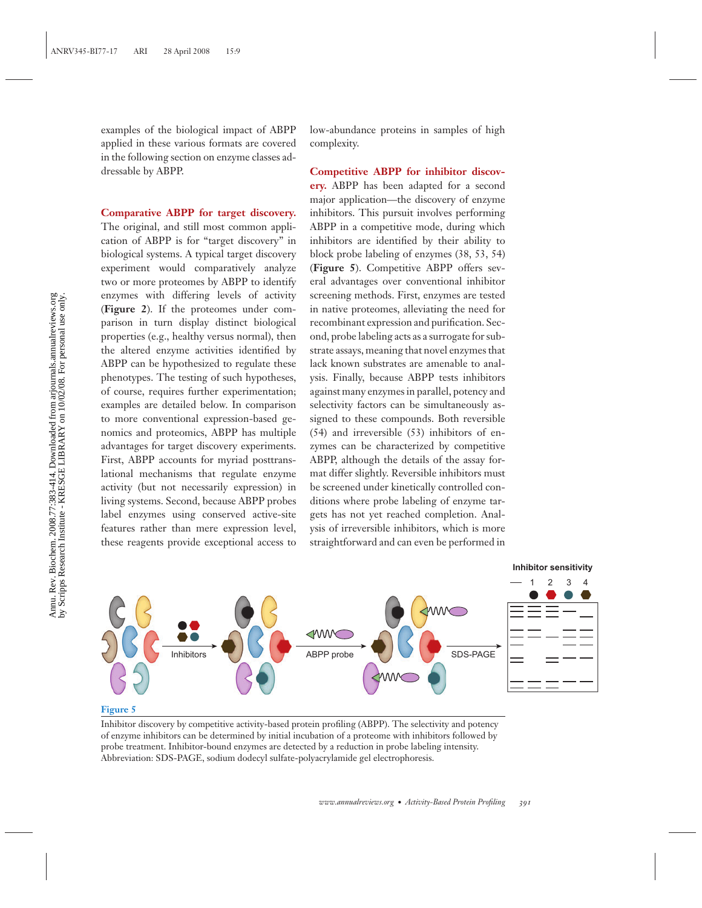examples of the biological impact of ABPP applied in these various formats are covered in the following section on enzyme classes addressable by ABPP.

#### **Comparative ABPP for target discovery.**

The original, and still most common application of ABPP is for "target discovery" in biological systems. A typical target discovery experiment would comparatively analyze two or more proteomes by ABPP to identify enzymes with differing levels of activity (**Figure 2**). If the proteomes under comparison in turn display distinct biological properties (e.g., healthy versus normal), then the altered enzyme activities identified by ABPP can be hypothesized to regulate these phenotypes. The testing of such hypotheses, of course, requires further experimentation; examples are detailed below. In comparison to more conventional expression-based genomics and proteomics, ABPP has multiple advantages for target discovery experiments. First, ABPP accounts for myriad posttranslational mechanisms that regulate enzyme activity (but not necessarily expression) in living systems. Second, because ABPP probes label enzymes using conserved active-site features rather than mere expression level, these reagents provide exceptional access to

low-abundance proteins in samples of high complexity.

**Competitive ABPP for inhibitor discovery.** ABPP has been adapted for a second major application—the discovery of enzyme inhibitors. This pursuit involves performing ABPP in a competitive mode, during which inhibitors are identified by their ability to block probe labeling of enzymes (38, 53, 54) (**Figure 5**). Competitive ABPP offers several advantages over conventional inhibitor screening methods. First, enzymes are tested in native proteomes, alleviating the need for recombinant expression and purification. Second, probe labeling acts as a surrogate for substrate assays, meaning that novel enzymes that lack known substrates are amenable to analysis. Finally, because ABPP tests inhibitors against many enzymes in parallel, potency and selectivity factors can be simultaneously assigned to these compounds. Both reversible (54) and irreversible (53) inhibitors of enzymes can be characterized by competitive ABPP, although the details of the assay format differ slightly. Reversible inhibitors must be screened under kinetically controlled conditions where probe labeling of enzyme targets has not yet reached completion. Analysis of irreversible inhibitors, which is more straightforward and can even be performed in



#### **Figure 5**

Inhibitor discovery by competitive activity-based protein profiling (ABPP). The selectivity and potency of enzyme inhibitors can be determined by initial incubation of a proteome with inhibitors followed by probe treatment. Inhibitor-bound enzymes are detected by a reduction in probe labeling intensity. Abbreviation: SDS-PAGE, sodium dodecyl sulfate-polyacrylamide gel electrophoresis.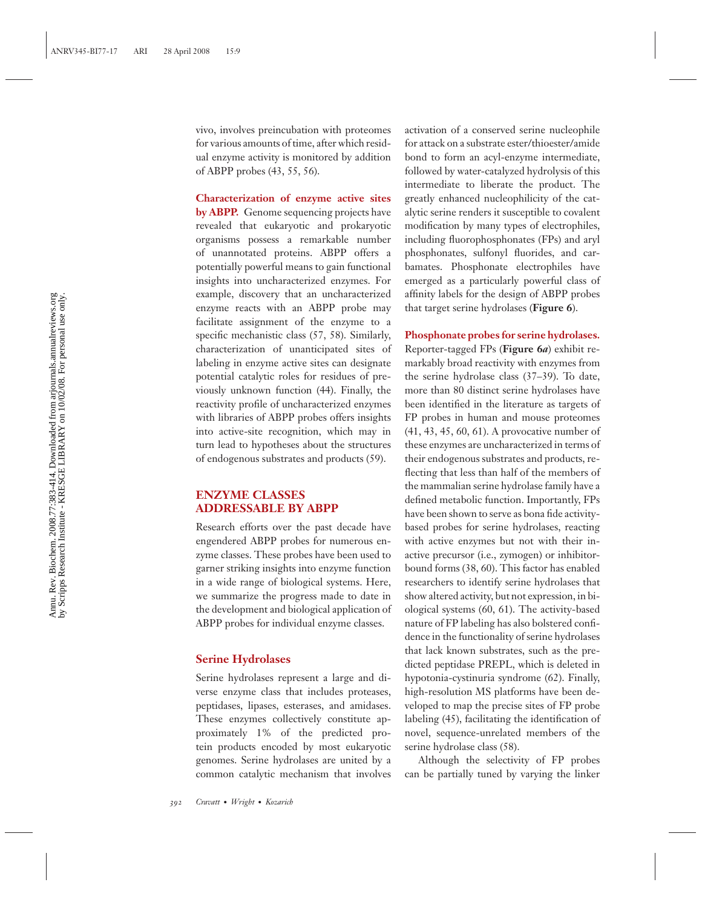vivo, involves preincubation with proteomes for various amounts of time, after which residual enzyme activity is monitored by addition of ABPP probes (43, 55, 56).

**Characterization of enzyme active sites by ABPP.** Genome sequencing projects have revealed that eukaryotic and prokaryotic organisms possess a remarkable number of unannotated proteins. ABPP offers a potentially powerful means to gain functional insights into uncharacterized enzymes. For example, discovery that an uncharacterized enzyme reacts with an ABPP probe may facilitate assignment of the enzyme to a specific mechanistic class (57, 58). Similarly, characterization of unanticipated sites of labeling in enzyme active sites can designate potential catalytic roles for residues of previously unknown function (44). Finally, the reactivity profile of uncharacterized enzymes with libraries of ABPP probes offers insights into active-site recognition, which may in turn lead to hypotheses about the structures of endogenous substrates and products (59).

## **ENZYME CLASSES ADDRESSABLE BY ABPP**

Research efforts over the past decade have engendered ABPP probes for numerous enzyme classes. These probes have been used to garner striking insights into enzyme function in a wide range of biological systems. Here, we summarize the progress made to date in the development and biological application of ABPP probes for individual enzyme classes.

## **Serine Hydrolases**

Serine hydrolases represent a large and diverse enzyme class that includes proteases, peptidases, lipases, esterases, and amidases. These enzymes collectively constitute approximately 1% of the predicted protein products encoded by most eukaryotic genomes. Serine hydrolases are united by a common catalytic mechanism that involves activation of a conserved serine nucleophile for attack on a substrate ester/thioester/amide bond to form an acyl-enzyme intermediate, followed by water-catalyzed hydrolysis of this intermediate to liberate the product. The greatly enhanced nucleophilicity of the catalytic serine renders it susceptible to covalent modification by many types of electrophiles, including fluorophosphonates (FPs) and aryl phosphonates, sulfonyl fluorides, and carbamates. Phosphonate electrophiles have emerged as a particularly powerful class of affinity labels for the design of ABPP probes that target serine hydrolases (**Figure 6**).

**Phosphonate probes for serine hydrolases.** Reporter-tagged FPs (**Figure 6***a*) exhibit remarkably broad reactivity with enzymes from the serine hydrolase class (37–39). To date, more than 80 distinct serine hydrolases have been identified in the literature as targets of FP probes in human and mouse proteomes (41, 43, 45, 60, 61). A provocative number of these enzymes are uncharacterized in terms of their endogenous substrates and products, reflecting that less than half of the members of the mammalian serine hydrolase family have a defined metabolic function. Importantly, FPs have been shown to serve as bona fide activitybased probes for serine hydrolases, reacting with active enzymes but not with their inactive precursor (i.e., zymogen) or inhibitorbound forms (38, 60). This factor has enabled researchers to identify serine hydrolases that show altered activity, but not expression, in biological systems (60, 61). The activity-based nature of FP labeling has also bolstered confidence in the functionality of serine hydrolases that lack known substrates, such as the predicted peptidase PREPL, which is deleted in hypotonia-cystinuria syndrome (62). Finally, high-resolution MS platforms have been developed to map the precise sites of FP probe labeling (45), facilitating the identification of novel, sequence-unrelated members of the serine hydrolase class (58).

Although the selectivity of FP probes can be partially tuned by varying the linker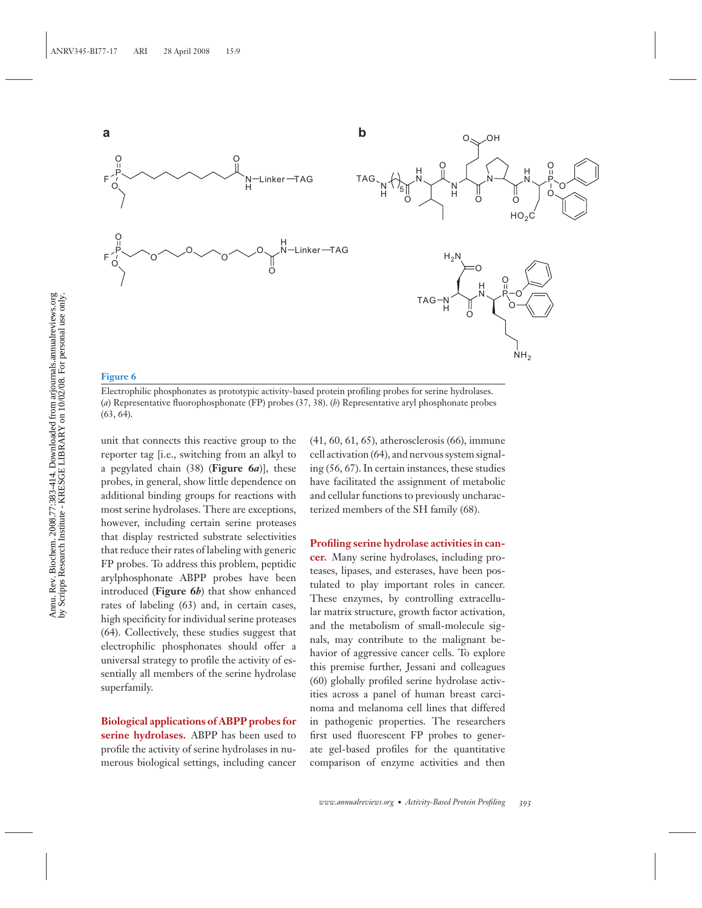

Electrophilic phosphonates as prototypic activity-based protein profiling probes for serine hydrolases. (*a*) Representative fluorophosphonate (FP) probes (37, 38). (*b*) Representative aryl phosphonate probes (63, 64).

unit that connects this reactive group to the reporter tag [i.e., switching from an alkyl to a pegylated chain (38) (**Figure 6***a*)], these probes, in general, show little dependence on additional binding groups for reactions with most serine hydrolases. There are exceptions, however, including certain serine proteases that display restricted substrate selectivities that reduce their rates of labeling with generic FP probes. To address this problem, peptidic arylphosphonate ABPP probes have been introduced (**Figure 6***b*) that show enhanced rates of labeling (63) and, in certain cases, high specificity for individual serine proteases (64). Collectively, these studies suggest that electrophilic phosphonates should offer a universal strategy to profile the activity of essentially all members of the serine hydrolase superfamily.

**Biological applications of ABPP probes for serine hydrolases.** ABPP has been used to profile the activity of serine hydrolases in numerous biological settings, including cancer

(41, 60, 61, 65), atherosclerosis (66), immune cell activation (64), and nervous system signaling (56, 67). In certain instances, these studies have facilitated the assignment of metabolic and cellular functions to previously uncharacterized members of the SH family (68).

**Profiling serine hydrolase activities in can-**

**cer.** Many serine hydrolases, including proteases, lipases, and esterases, have been postulated to play important roles in cancer. These enzymes, by controlling extracellular matrix structure, growth factor activation, and the metabolism of small-molecule signals, may contribute to the malignant behavior of aggressive cancer cells. To explore this premise further, Jessani and colleagues (60) globally profiled serine hydrolase activities across a panel of human breast carcinoma and melanoma cell lines that differed in pathogenic properties. The researchers first used fluorescent FP probes to generate gel-based profiles for the quantitative comparison of enzyme activities and then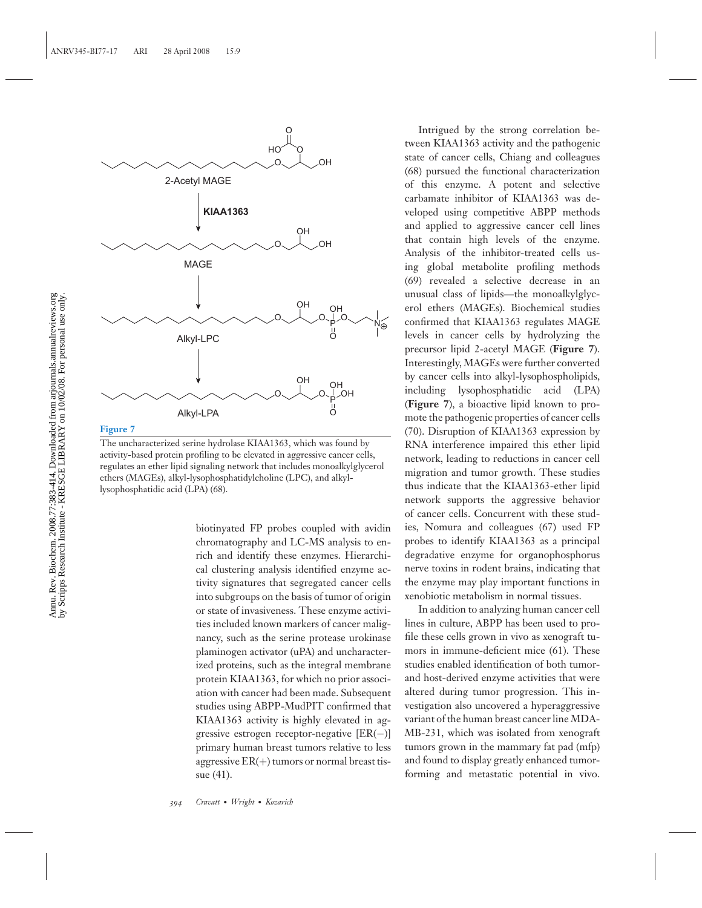

The uncharacterized serine hydrolase KIAA1363, which was found by activity-based protein profiling to be elevated in aggressive cancer cells, regulates an ether lipid signaling network that includes monoalkylglycerol ethers (MAGEs), alkyl-lysophosphatidylcholine (LPC), and alkyllysophosphatidic acid (LPA) (68).

biotinyated FP probes coupled with avidin chromatography and LC-MS analysis to enrich and identify these enzymes. Hierarchical clustering analysis identified enzyme activity signatures that segregated cancer cells into subgroups on the basis of tumor of origin or state of invasiveness. These enzyme activities included known markers of cancer malignancy, such as the serine protease urokinase plaminogen activator (uPA) and uncharacterized proteins, such as the integral membrane protein KIAA1363, for which no prior association with cancer had been made. Subsequent studies using ABPP-MudPIT confirmed that KIAA1363 activity is highly elevated in aggressive estrogen receptor-negative  $[ER(-)]$ primary human breast tumors relative to less aggressive  $ER(+)$  tumors or normal breast tissue (41).

Intrigued by the strong correlation between KIAA1363 activity and the pathogenic state of cancer cells, Chiang and colleagues (68) pursued the functional characterization of this enzyme. A potent and selective carbamate inhibitor of KIAA1363 was developed using competitive ABPP methods and applied to aggressive cancer cell lines that contain high levels of the enzyme. Analysis of the inhibitor-treated cells using global metabolite profiling methods (69) revealed a selective decrease in an unusual class of lipids—the monoalkylglycerol ethers (MAGEs). Biochemical studies confirmed that KIAA1363 regulates MAGE levels in cancer cells by hydrolyzing the precursor lipid 2-acetyl MAGE (**Figure 7**). Interestingly, MAGEs were further converted by cancer cells into alkyl-lysophospholipids, including lysophosphatidic acid (LPA) (**Figure 7**), a bioactive lipid known to promote the pathogenic properties of cancer cells (70). Disruption of KIAA1363 expression by RNA interference impaired this ether lipid network, leading to reductions in cancer cell migration and tumor growth. These studies thus indicate that the KIAA1363-ether lipid network supports the aggressive behavior of cancer cells. Concurrent with these studies, Nomura and colleagues (67) used FP probes to identify KIAA1363 as a principal degradative enzyme for organophosphorus nerve toxins in rodent brains, indicating that the enzyme may play important functions in xenobiotic metabolism in normal tissues.

In addition to analyzing human cancer cell lines in culture, ABPP has been used to profile these cells grown in vivo as xenograft tumors in immune-deficient mice (61). These studies enabled identification of both tumorand host-derived enzyme activities that were altered during tumor progression. This investigation also uncovered a hyperaggressive variant of the human breast cancer line MDA-MB-231, which was isolated from xenograft tumors grown in the mammary fat pad (mfp) and found to display greatly enhanced tumorforming and metastatic potential in vivo.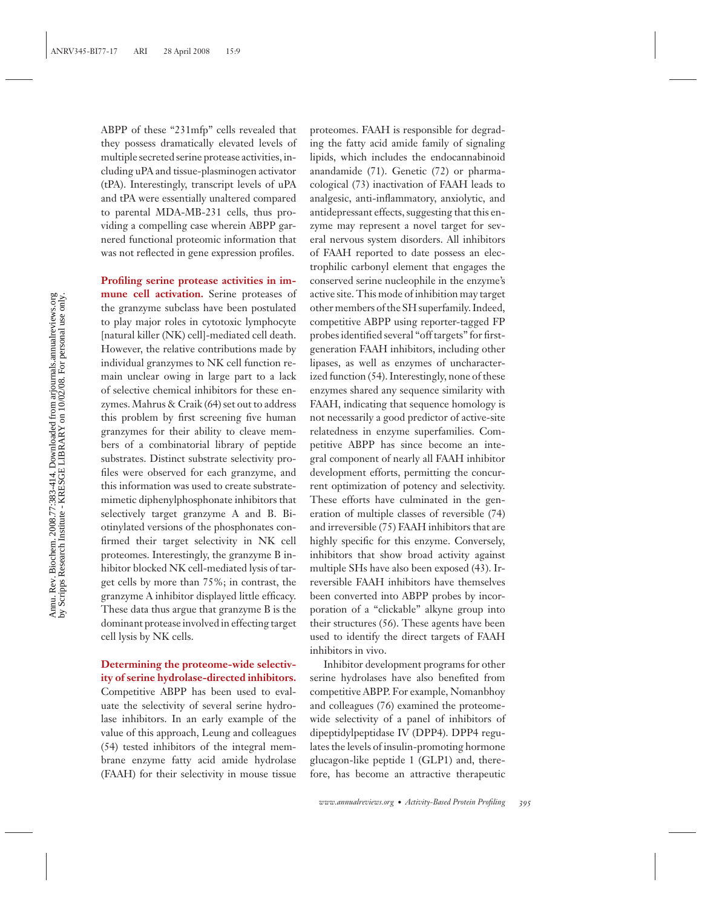ABPP of these "231mfp" cells revealed that they possess dramatically elevated levels of multiple secreted serine protease activities, including uPA and tissue-plasminogen activator (tPA). Interestingly, transcript levels of uPA and tPA were essentially unaltered compared to parental MDA-MB-231 cells, thus providing a compelling case wherein ABPP garnered functional proteomic information that was not reflected in gene expression profiles.

**Profiling serine protease activities in immune cell activation.** Serine proteases of the granzyme subclass have been postulated to play major roles in cytotoxic lymphocyte [natural killer (NK) cell]-mediated cell death. However, the relative contributions made by individual granzymes to NK cell function remain unclear owing in large part to a lack of selective chemical inhibitors for these enzymes. Mahrus & Craik (64) set out to address this problem by first screening five human granzymes for their ability to cleave members of a combinatorial library of peptide substrates. Distinct substrate selectivity profiles were observed for each granzyme, and this information was used to create substratemimetic diphenylphosphonate inhibitors that selectively target granzyme A and B. Biotinylated versions of the phosphonates confirmed their target selectivity in NK cell proteomes. Interestingly, the granzyme B inhibitor blocked NK cell-mediated lysis of target cells by more than 75%; in contrast, the granzyme A inhibitor displayed little efficacy. These data thus argue that granzyme B is the dominant protease involved in effecting target cell lysis by NK cells.

### **Determining the proteome-wide selectivity of serine hydrolase-directed inhibitors.**

Competitive ABPP has been used to evaluate the selectivity of several serine hydrolase inhibitors. In an early example of the value of this approach, Leung and colleagues (54) tested inhibitors of the integral membrane enzyme fatty acid amide hydrolase (FAAH) for their selectivity in mouse tissue

proteomes. FAAH is responsible for degrading the fatty acid amide family of signaling lipids, which includes the endocannabinoid anandamide (71). Genetic (72) or pharmacological (73) inactivation of FAAH leads to analgesic, anti-inflammatory, anxiolytic, and antidepressant effects, suggesting that this enzyme may represent a novel target for several nervous system disorders. All inhibitors of FAAH reported to date possess an electrophilic carbonyl element that engages the conserved serine nucleophile in the enzyme's active site. This mode of inhibition may target other members of the SH superfamily. Indeed, competitive ABPP using reporter-tagged FP probes identified several "off targets" for firstgeneration FAAH inhibitors, including other lipases, as well as enzymes of uncharacterized function (54). Interestingly, none of these enzymes shared any sequence similarity with FAAH, indicating that sequence homology is not necessarily a good predictor of active-site relatedness in enzyme superfamilies. Competitive ABPP has since become an integral component of nearly all FAAH inhibitor development efforts, permitting the concurrent optimization of potency and selectivity. These efforts have culminated in the generation of multiple classes of reversible (74) and irreversible (75) FAAH inhibitors that are highly specific for this enzyme. Conversely, inhibitors that show broad activity against multiple SHs have also been exposed (43). Irreversible FAAH inhibitors have themselves been converted into ABPP probes by incorporation of a "clickable" alkyne group into their structures (56). These agents have been used to identify the direct targets of FAAH inhibitors in vivo.

Inhibitor development programs for other serine hydrolases have also benefited from competitive ABPP. For example, Nomanbhoy and colleagues (76) examined the proteomewide selectivity of a panel of inhibitors of dipeptidylpeptidase IV (DPP4). DPP4 regulates the levels of insulin-promoting hormone glucagon-like peptide 1 (GLP1) and, therefore, has become an attractive therapeutic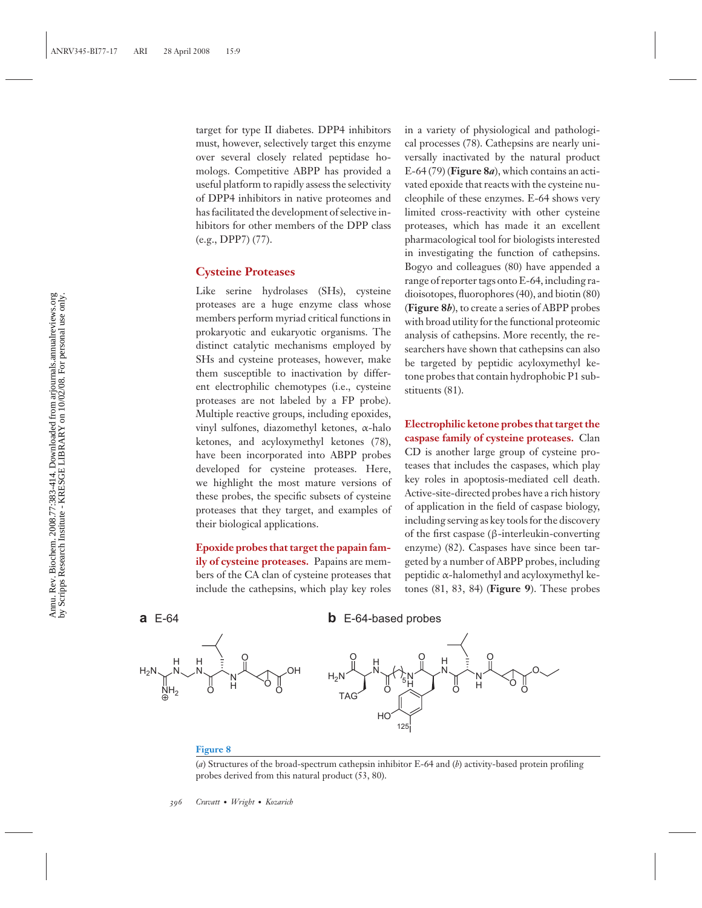target for type II diabetes. DPP4 inhibitors must, however, selectively target this enzyme over several closely related peptidase homologs. Competitive ABPP has provided a useful platform to rapidly assess the selectivity of DPP4 inhibitors in native proteomes and has facilitated the development of selective inhibitors for other members of the DPP class (e.g., DPP7) (77).

## **Cysteine Proteases**

Like serine hydrolases (SHs), cysteine proteases are a huge enzyme class whose members perform myriad critical functions in prokaryotic and eukaryotic organisms. The distinct catalytic mechanisms employed by SHs and cysteine proteases, however, make them susceptible to inactivation by different electrophilic chemotypes (i.e., cysteine proteases are not labeled by a FP probe). Multiple reactive groups, including epoxides, vinyl sulfones, diazomethyl ketones, α-halo ketones, and acyloxymethyl ketones (78), have been incorporated into ABPP probes developed for cysteine proteases. Here, we highlight the most mature versions of these probes, the specific subsets of cysteine proteases that they target, and examples of their biological applications.

**Epoxide probes that target the papain family of cysteine proteases.** Papains are members of the CA clan of cysteine proteases that include the cathepsins, which play key roles in a variety of physiological and pathological processes (78). Cathepsins are nearly universally inactivated by the natural product E-64 (79) (**Figure 8***a*), which contains an activated epoxide that reacts with the cysteine nucleophile of these enzymes. E-64 shows very limited cross-reactivity with other cysteine proteases, which has made it an excellent pharmacological tool for biologists interested in investigating the function of cathepsins. Bogyo and colleagues (80) have appended a range of reporter tags onto E-64, including radioisotopes, fluorophores (40), and biotin (80) (**Figure 8***b*), to create a series of ABPP probes with broad utility for the functional proteomic analysis of cathepsins. More recently, the researchers have shown that cathepsins can also be targeted by peptidic acyloxymethyl ketone probes that contain hydrophobic P1 substituents (81).

**Electrophilic ketone probes that target the caspase family of cysteine proteases.** Clan CD is another large group of cysteine proteases that includes the caspases, which play key roles in apoptosis-mediated cell death. Active-site-directed probes have a rich history of application in the field of caspase biology, including serving as key tools for the discovery of the first caspase (β-interleukin-converting enzyme) (82). Caspases have since been targeted by a number of ABPP probes, including peptidic α-halomethyl and acyloxymethyl ketones (81, 83, 84) (**Figure 9**). These probes



## **a** E-64 **b** E-64-based probes



#### **Figure 8**

(*a*) Structures of the broad-spectrum cathepsin inhibitor E-64 and (*b*) activity-based protein profiling probes derived from this natural product (53, 80).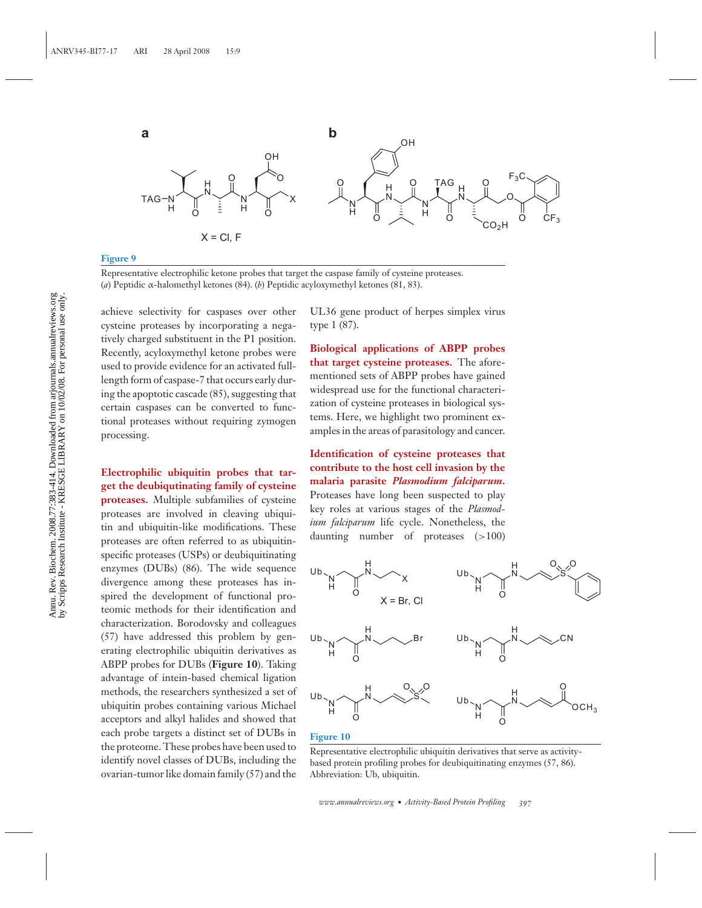

Representative electrophilic ketone probes that target the caspase family of cysteine proteases. (*a*) Peptidic α-halomethyl ketones (84). (*b*) Peptidic acyloxymethyl ketones (81, 83).

achieve selectivity for caspases over other cysteine proteases by incorporating a negatively charged substituent in the P1 position. Recently, acyloxymethyl ketone probes were used to provide evidence for an activated fulllength form of caspase-7 that occurs early during the apoptotic cascade (85), suggesting that certain caspases can be converted to functional proteases without requiring zymogen processing.

**Electrophilic ubiquitin probes that target the deubiqutinating family of cysteine proteases.** Multiple subfamilies of cysteine proteases are involved in cleaving ubiquitin and ubiquitin-like modifications. These proteases are often referred to as ubiquitinspecific proteases (USPs) or deubiquitinating enzymes (DUBs) (86). The wide sequence divergence among these proteases has inspired the development of functional proteomic methods for their identification and characterization. Borodovsky and colleagues (57) have addressed this problem by generating electrophilic ubiquitin derivatives as ABPP probes for DUBs (**Figure 10**). Taking advantage of intein-based chemical ligation methods, the researchers synthesized a set of ubiquitin probes containing various Michael acceptors and alkyl halides and showed that each probe targets a distinct set of DUBs in the proteome. These probes have been used to identify novel classes of DUBs, including the ovarian-tumor like domain family (57) and the

UL36 gene product of herpes simplex virus type 1 (87).

**Biological applications of ABPP probes that target cysteine proteases.** The aforementioned sets of ABPP probes have gained widespread use for the functional characterization of cysteine proteases in biological systems. Here, we highlight two prominent examples in the areas of parasitology and cancer.

**Identification of cysteine proteases that contribute to the host cell invasion by the malaria parasite** *Plasmodium falciparum***.** Proteases have long been suspected to play key roles at various stages of the *Plasmodium falciparum* life cycle. Nonetheless, the daunting number of proteases (>100)



**Figure 10**

Representative electrophilic ubiquitin derivatives that serve as activitybased protein profiling probes for deubiquitinating enzymes (57, 86). Abbreviation: Ub, ubiquitin.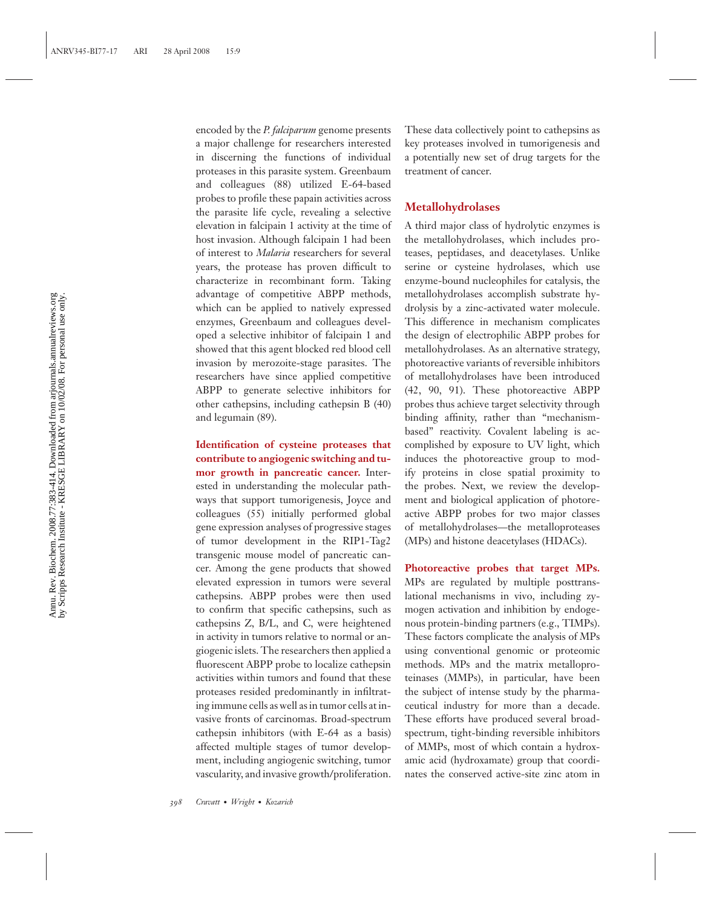encoded by the *P. falciparum* genome presents a major challenge for researchers interested in discerning the functions of individual proteases in this parasite system. Greenbaum and colleagues (88) utilized E-64-based probes to profile these papain activities across the parasite life cycle, revealing a selective elevation in falcipain 1 activity at the time of host invasion. Although falcipain 1 had been of interest to *Malaria* researchers for several years, the protease has proven difficult to characterize in recombinant form. Taking advantage of competitive ABPP methods, which can be applied to natively expressed enzymes, Greenbaum and colleagues developed a selective inhibitor of falcipain 1 and showed that this agent blocked red blood cell invasion by merozoite-stage parasites. The researchers have since applied competitive ABPP to generate selective inhibitors for other cathepsins, including cathepsin B (40) and legumain (89).

**Identification of cysteine proteases that contribute to angiogenic switching and tumor growth in pancreatic cancer.** Interested in understanding the molecular pathways that support tumorigenesis, Joyce and colleagues (55) initially performed global gene expression analyses of progressive stages of tumor development in the RIP1-Tag2 transgenic mouse model of pancreatic cancer. Among the gene products that showed elevated expression in tumors were several cathepsins. ABPP probes were then used to confirm that specific cathepsins, such as cathepsins Z, B/L, and C, were heightened in activity in tumors relative to normal or angiogenic islets. The researchers then applied a fluorescent ABPP probe to localize cathepsin activities within tumors and found that these proteases resided predominantly in infiltrating immune cells as well as in tumor cells at invasive fronts of carcinomas. Broad-spectrum cathepsin inhibitors (with E-64 as a basis) affected multiple stages of tumor development, including angiogenic switching, tumor vascularity, and invasive growth/proliferation.

These data collectively point to cathepsins as key proteases involved in tumorigenesis and a potentially new set of drug targets for the treatment of cancer.

#### **Metallohydrolases**

A third major class of hydrolytic enzymes is the metallohydrolases, which includes proteases, peptidases, and deacetylases. Unlike serine or cysteine hydrolases, which use enzyme-bound nucleophiles for catalysis, the metallohydrolases accomplish substrate hydrolysis by a zinc-activated water molecule. This difference in mechanism complicates the design of electrophilic ABPP probes for metallohydrolases. As an alternative strategy, photoreactive variants of reversible inhibitors of metallohydrolases have been introduced (42, 90, 91). These photoreactive ABPP probes thus achieve target selectivity through binding affinity, rather than "mechanismbased" reactivity. Covalent labeling is accomplished by exposure to UV light, which induces the photoreactive group to modify proteins in close spatial proximity to the probes. Next, we review the development and biological application of photoreactive ABPP probes for two major classes of metallohydrolases—the metalloproteases (MPs) and histone deacetylases (HDACs).

**Photoreactive probes that target MPs.** MPs are regulated by multiple posttranslational mechanisms in vivo, including zymogen activation and inhibition by endogenous protein-binding partners (e.g., TIMPs). These factors complicate the analysis of MPs using conventional genomic or proteomic methods. MPs and the matrix metalloproteinases (MMPs), in particular, have been the subject of intense study by the pharmaceutical industry for more than a decade. These efforts have produced several broadspectrum, tight-binding reversible inhibitors of MMPs, most of which contain a hydroxamic acid (hydroxamate) group that coordinates the conserved active-site zinc atom in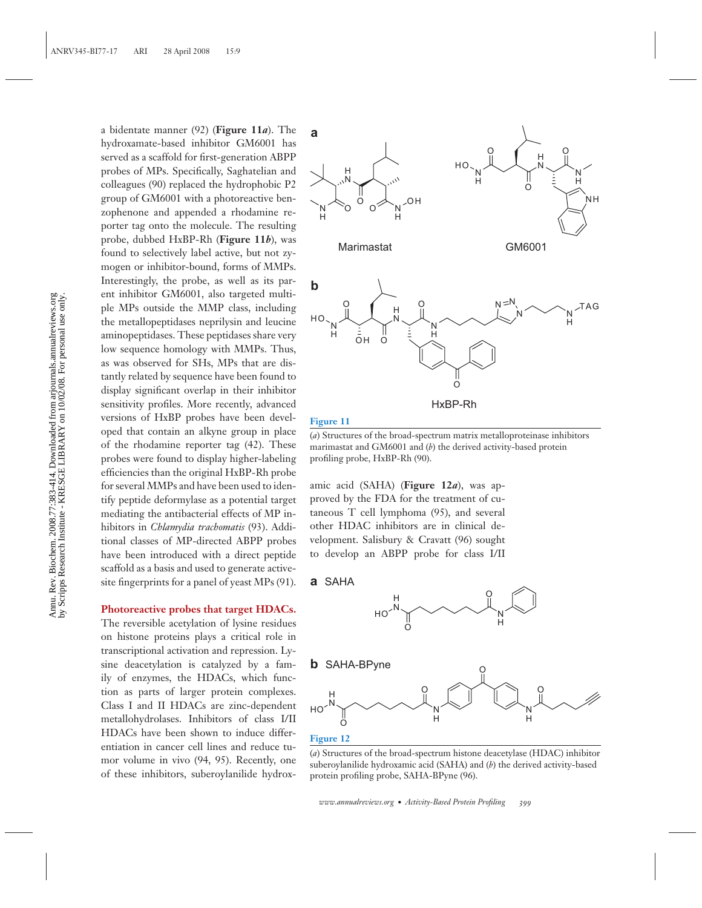a bidentate manner (92) (**Figure 11***a*). The hydroxamate-based inhibitor GM6001 has served as a scaffold for first-generation ABPP probes of MPs. Specifically, Saghatelian and colleagues (90) replaced the hydrophobic P2 group of GM6001 with a photoreactive benzophenone and appended a rhodamine reporter tag onto the molecule. The resulting probe, dubbed HxBP-Rh (**Figure 11***b*), was found to selectively label active, but not zymogen or inhibitor-bound, forms of MMPs. Interestingly, the probe, as well as its parent inhibitor GM6001, also targeted multiple MPs outside the MMP class, including the metallopeptidases neprilysin and leucine aminopeptidases. These peptidases share very low sequence homology with MMPs. Thus, as was observed for SHs, MPs that are distantly related by sequence have been found to display significant overlap in their inhibitor sensitivity profiles. More recently, advanced versions of HxBP probes have been developed that contain an alkyne group in place of the rhodamine reporter tag (42). These probes were found to display higher-labeling efficiencies than the original HxBP-Rh probe for several MMPs and have been used to identify peptide deformylase as a potential target mediating the antibacterial effects of MP inhibitors in *Chlamydia trachomatis* (93). Additional classes of MP-directed ABPP probes have been introduced with a direct peptide scaffold as a basis and used to generate activesite fingerprints for a panel of yeast MPs (91).

#### **Photoreactive probes that target HDACs.**

The reversible acetylation of lysine residues on histone proteins plays a critical role in transcriptional activation and repression. Lysine deacetylation is catalyzed by a family of enzymes, the HDACs, which function as parts of larger protein complexes. Class I and II HDACs are zinc-dependent metallohydrolases. Inhibitors of class I/II HDACs have been shown to induce differentiation in cancer cell lines and reduce tumor volume in vivo (94, 95). Recently, one of these inhibitors, suberoylanilide hydrox-



#### **Figure 11**

(*a*) Structures of the broad-spectrum matrix metalloproteinase inhibitors marimastat and GM6001 and (*b*) the derived activity-based protein profiling probe, HxBP-Rh (90).

amic acid (SAHA) (**Figure 12***a*), was approved by the FDA for the treatment of cutaneous T cell lymphoma (95), and several other HDAC inhibitors are in clinical development. Salisbury & Cravatt (96) sought to develop an ABPP probe for class I/II

#### **a** SAHA



(*a*) Structures of the broad-spectrum histone deacetylase (HDAC) inhibitor suberoylanilide hydroxamic acid (SAHA) and (*b*) the derived activity-based protein profiling probe, SAHA-BPyne (96).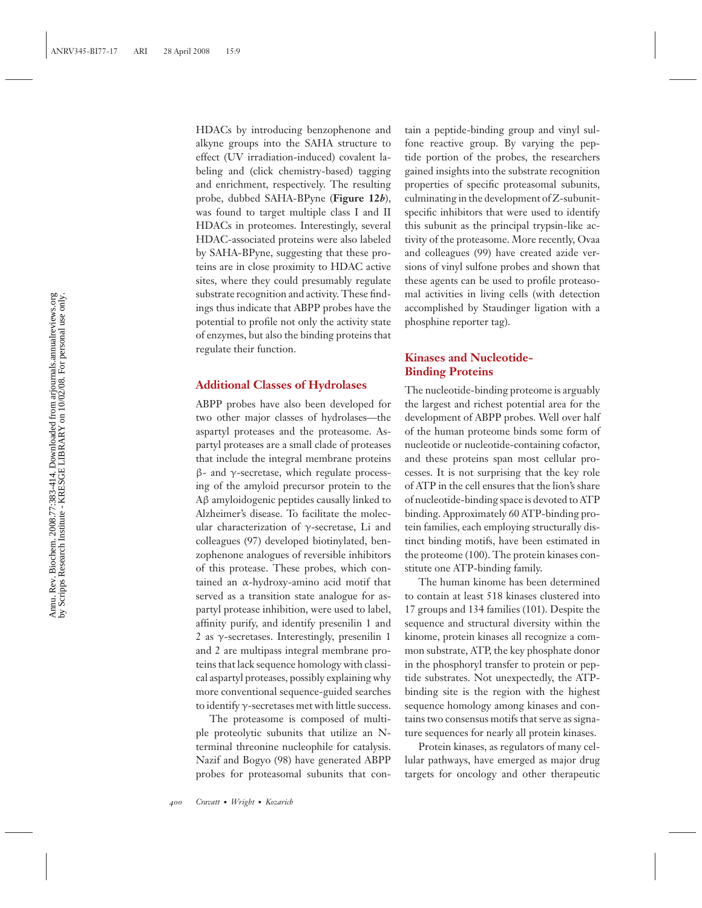HDACs by introducing benzophenone and alkyne groups into the SAHA structure to effect (UV irradiation-induced) covalent labeling and (click chemistry-based) tagging and enrichment, respectively. The resulting probe, dubbed SAHA-BPyne (**Figure 12***b*), was found to target multiple class I and II HDACs in proteomes. Interestingly, several HDAC-associated proteins were also labeled by SAHA-BPyne, suggesting that these proteins are in close proximity to HDAC active sites, where they could presumably regulate substrate recognition and activity. These findings thus indicate that ABPP probes have the potential to profile not only the activity state of enzymes, but also the binding proteins that regulate their function.

## **Additional Classes of Hydrolases**

ABPP probes have also been developed for two other major classes of hydrolases—the aspartyl proteases and the proteasome. Aspartyl proteases are a small clade of proteases that include the integral membrane proteins β- and γ-secretase, which regulate processing of the amyloid precursor protein to the Aβ amyloidogenic peptides causally linked to Alzheimer's disease. To facilitate the molecular characterization of γ-secretase, Li and colleagues (97) developed biotinylated, benzophenone analogues of reversible inhibitors of this protease. These probes, which contained an α-hydroxy-amino acid motif that served as a transition state analogue for aspartyl protease inhibition, were used to label, affinity purify, and identify presenilin 1 and 2 as  $\gamma$ -secretases. Interestingly, presenilin 1 and 2 are multipass integral membrane proteins that lack sequence homology with classical aspartyl proteases, possibly explaining why more conventional sequence-guided searches to identify  $\gamma$ -secretases met with little success.

The proteasome is composed of multiple proteolytic subunits that utilize an Nterminal threonine nucleophile for catalysis. Nazif and Bogyo (98) have generated ABPP probes for proteasomal subunits that con-

tain a peptide-binding group and vinyl sulfone reactive group. By varying the peptide portion of the probes, the researchers gained insights into the substrate recognition properties of specific proteasomal subunits, culminating in the development of Z-subunitspecific inhibitors that were used to identify this subunit as the principal trypsin-like activity of the proteasome. More recently, Ovaa and colleagues (99) have created azide versions of vinyl sulfone probes and shown that these agents can be used to profile proteasomal activities in living cells (with detection accomplished by Staudinger ligation with a phosphine reporter tag).

## **Kinases and Nucleotide-Binding Proteins**

The nucleotide-binding proteome is arguably the largest and richest potential area for the development of ABPP probes. Well over half of the human proteome binds some form of nucleotide or nucleotide-containing cofactor, and these proteins span most cellular processes. It is not surprising that the key role of ATP in the cell ensures that the lion's share of nucleotide-binding space is devoted to ATP binding. Approximately 60 ATP-binding protein families, each employing structurally distinct binding motifs, have been estimated in the proteome (100). The protein kinases constitute one ATP-binding family.

The human kinome has been determined to contain at least 518 kinases clustered into 17 groups and 134 families (101). Despite the sequence and structural diversity within the kinome, protein kinases all recognize a common substrate, ATP, the key phosphate donor in the phosphoryl transfer to protein or peptide substrates. Not unexpectedly, the ATPbinding site is the region with the highest sequence homology among kinases and contains two consensus motifs that serve as signature sequences for nearly all protein kinases.

Protein kinases, as regulators of many cellular pathways, have emerged as major drug targets for oncology and other therapeutic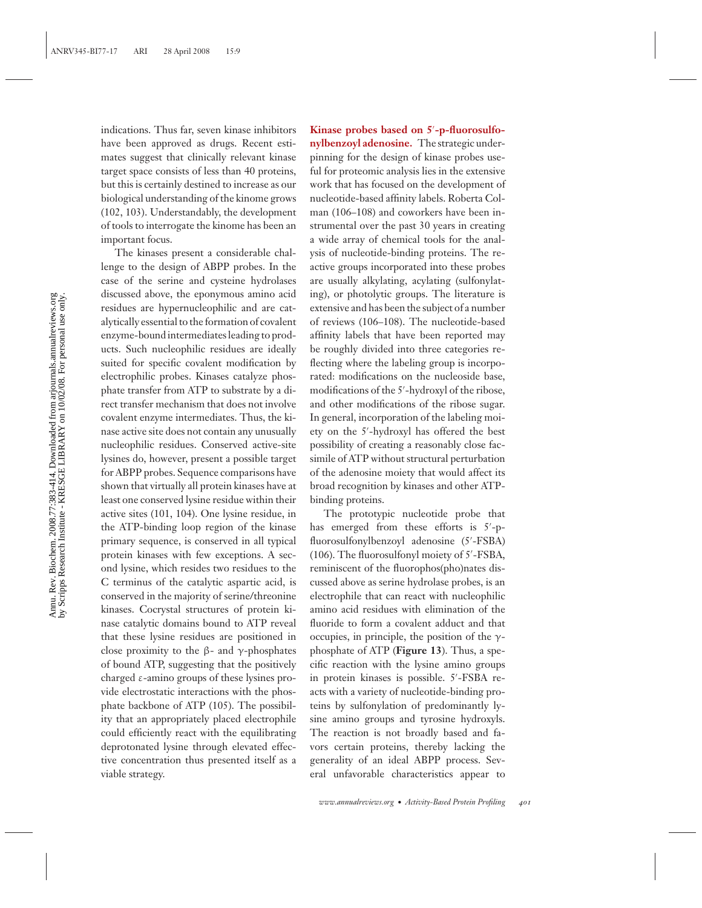indications. Thus far, seven kinase inhibitors have been approved as drugs. Recent estimates suggest that clinically relevant kinase target space consists of less than 40 proteins, but this is certainly destined to increase as our biological understanding of the kinome grows (102, 103). Understandably, the development of tools to interrogate the kinome has been an important focus.

The kinases present a considerable challenge to the design of ABPP probes. In the case of the serine and cysteine hydrolases discussed above, the eponymous amino acid residues are hypernucleophilic and are catalytically essential to the formation of covalent enzyme-bound intermediates leading to products. Such nucleophilic residues are ideally suited for specific covalent modification by electrophilic probes. Kinases catalyze phosphate transfer from ATP to substrate by a direct transfer mechanism that does not involve covalent enzyme intermediates. Thus, the kinase active site does not contain any unusually nucleophilic residues. Conserved active-site lysines do, however, present a possible target for ABPP probes. Sequence comparisons have shown that virtually all protein kinases have at least one conserved lysine residue within their active sites (101, 104). One lysine residue, in the ATP-binding loop region of the kinase primary sequence, is conserved in all typical protein kinases with few exceptions. A second lysine, which resides two residues to the C terminus of the catalytic aspartic acid, is conserved in the majority of serine/threonine kinases. Cocrystal structures of protein kinase catalytic domains bound to ATP reveal that these lysine residues are positioned in close proximity to the  $\beta$ - and  $\gamma$ -phosphates of bound ATP, suggesting that the positively charged ε-amino groups of these lysines provide electrostatic interactions with the phosphate backbone of ATP (105). The possibility that an appropriately placed electrophile could efficiently react with the equilibrating deprotonated lysine through elevated effective concentration thus presented itself as a viable strategy.

Kinase probes based on 5'-p-fluorosulfo**nylbenzoyl adenosine.** The strategic underpinning for the design of kinase probes useful for proteomic analysis lies in the extensive work that has focused on the development of nucleotide-based affinity labels. Roberta Colman (106–108) and coworkers have been instrumental over the past 30 years in creating a wide array of chemical tools for the analysis of nucleotide-binding proteins. The reactive groups incorporated into these probes are usually alkylating, acylating (sulfonylating), or photolytic groups. The literature is extensive and has been the subject of a number of reviews (106–108). The nucleotide-based affinity labels that have been reported may be roughly divided into three categories reflecting where the labeling group is incorporated: modifications on the nucleoside base, modifications of the 5'-hydroxyl of the ribose, and other modifications of the ribose sugar. In general, incorporation of the labeling moiety on the 5- -hydroxyl has offered the best possibility of creating a reasonably close facsimile of ATP without structural perturbation of the adenosine moiety that would affect its broad recognition by kinases and other ATPbinding proteins.

The prototypic nucleotide probe that has emerged from these efforts is 5'-pfluorosulfonylbenzoyl adenosine (5'-FSBA) (106). The fluorosulfonyl moiety of 5- -FSBA, reminiscent of the fluorophos(pho)nates discussed above as serine hydrolase probes, is an electrophile that can react with nucleophilic amino acid residues with elimination of the fluoride to form a covalent adduct and that occupies, in principle, the position of the  $\gamma$ phosphate of ATP (**Figure 13**). Thus, a specific reaction with the lysine amino groups in protein kinases is possible. 5'-FSBA reacts with a variety of nucleotide-binding proteins by sulfonylation of predominantly lysine amino groups and tyrosine hydroxyls. The reaction is not broadly based and favors certain proteins, thereby lacking the generality of an ideal ABPP process. Several unfavorable characteristics appear to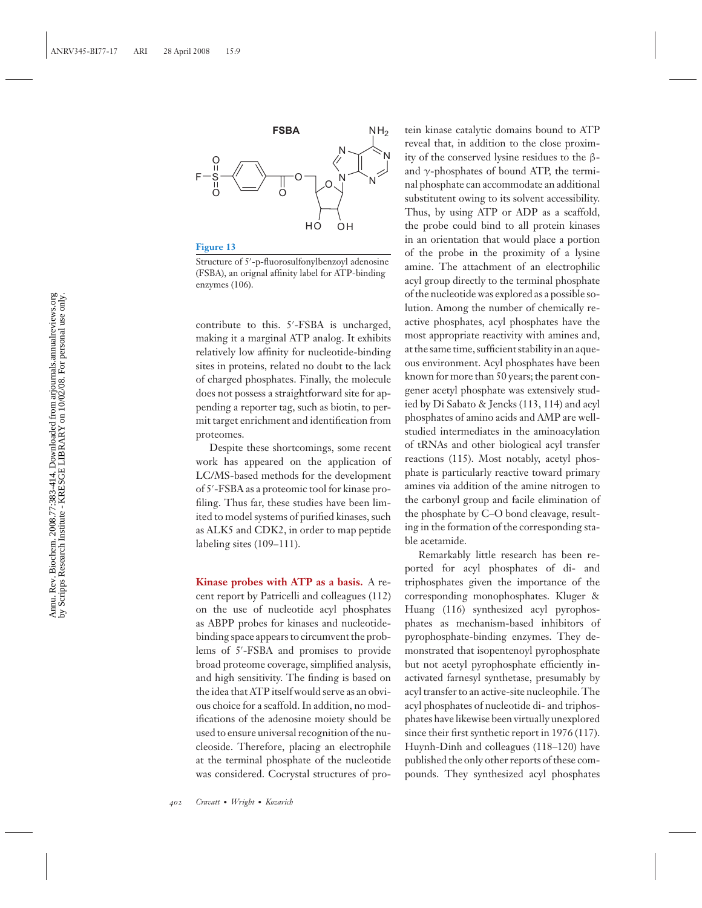

Structure of 5- -p-fluorosulfonylbenzoyl adenosine (FSBA), an orignal affinity label for ATP-binding enzymes (106).

contribute to this. 5- -FSBA is uncharged, making it a marginal ATP analog. It exhibits relatively low affinity for nucleotide-binding sites in proteins, related no doubt to the lack of charged phosphates. Finally, the molecule does not possess a straightforward site for appending a reporter tag, such as biotin, to permit target enrichment and identification from proteomes.

Despite these shortcomings, some recent work has appeared on the application of LC/MS-based methods for the development of 5- -FSBA as a proteomic tool for kinase profiling. Thus far, these studies have been limited to model systems of purified kinases, such as ALK5 and CDK2, in order to map peptide labeling sites (109–111).

**Kinase probes with ATP as a basis.** A recent report by Patricelli and colleagues (112) on the use of nucleotide acyl phosphates as ABPP probes for kinases and nucleotidebinding space appears to circumvent the problems of 5'-FSBA and promises to provide broad proteome coverage, simplified analysis, and high sensitivity. The finding is based on the idea that ATP itself would serve as an obvious choice for a scaffold. In addition, no modifications of the adenosine moiety should be used to ensure universal recognition of the nucleoside. Therefore, placing an electrophile at the terminal phosphate of the nucleotide was considered. Cocrystal structures of pro-

tein kinase catalytic domains bound to ATP reveal that, in addition to the close proximity of the conserved lysine residues to the βand  $\gamma$ -phosphates of bound ATP, the terminal phosphate can accommodate an additional substitutent owing to its solvent accessibility. Thus, by using ATP or ADP as a scaffold, the probe could bind to all protein kinases in an orientation that would place a portion of the probe in the proximity of a lysine amine. The attachment of an electrophilic acyl group directly to the terminal phosphate of the nucleotide was explored as a possible solution. Among the number of chemically reactive phosphates, acyl phosphates have the most appropriate reactivity with amines and, at the same time, sufficient stability in an aqueous environment. Acyl phosphates have been known for more than 50 years; the parent congener acetyl phosphate was extensively studied by Di Sabato & Jencks (113, 114) and acyl phosphates of amino acids and AMP are wellstudied intermediates in the aminoacylation of tRNAs and other biological acyl transfer reactions (115). Most notably, acetyl phosphate is particularly reactive toward primary amines via addition of the amine nitrogen to the carbonyl group and facile elimination of the phosphate by C–O bond cleavage, resulting in the formation of the corresponding stable acetamide.

Remarkably little research has been reported for acyl phosphates of di- and triphosphates given the importance of the corresponding monophosphates. Kluger & Huang (116) synthesized acyl pyrophosphates as mechanism-based inhibitors of pyrophosphate-binding enzymes. They demonstrated that isopentenoyl pyrophosphate but not acetyl pyrophosphate efficiently inactivated farnesyl synthetase, presumably by acyl transfer to an active-site nucleophile. The acyl phosphates of nucleotide di- and triphosphates have likewise been virtually unexplored since their first synthetic report in 1976 (117). Huynh-Dinh and colleagues (118–120) have published the only other reports of these compounds. They synthesized acyl phosphates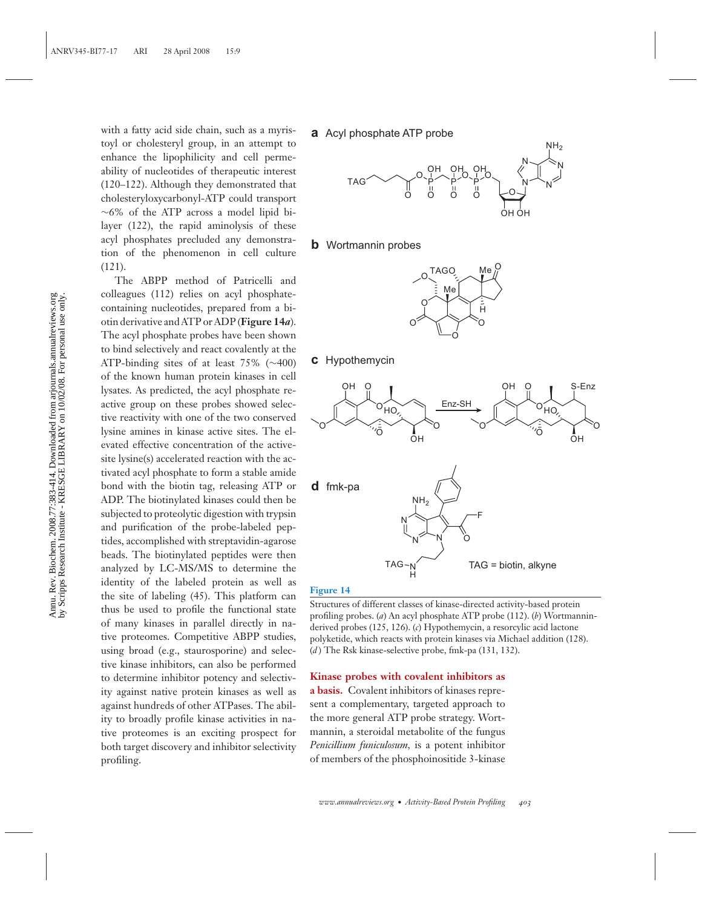with a fatty acid side chain, such as a myristoyl or cholesteryl group, in an attempt to enhance the lipophilicity and cell permeability of nucleotides of therapeutic interest (120–122). Although they demonstrated that cholesteryloxycarbonyl-ATP could transport ∼6% of the ATP across a model lipid bilayer (122), the rapid aminolysis of these acyl phosphates precluded any demonstration of the phenomenon in cell culture (121).

The ABPP method of Patricelli and colleagues (112) relies on acyl phosphatecontaining nucleotides, prepared from a biotin derivative and ATP or ADP (**Figure 14***a*). The acyl phosphate probes have been shown to bind selectively and react covalently at the ATP-binding sites of at least 75% (∼400) of the known human protein kinases in cell lysates. As predicted, the acyl phosphate reactive group on these probes showed selective reactivity with one of the two conserved lysine amines in kinase active sites. The elevated effective concentration of the activesite lysine(s) accelerated reaction with the activated acyl phosphate to form a stable amide bond with the biotin tag, releasing ATP or ADP. The biotinylated kinases could then be subjected to proteolytic digestion with trypsin and purification of the probe-labeled peptides, accomplished with streptavidin-agarose beads. The biotinylated peptides were then analyzed by LC-MS/MS to determine the identity of the labeled protein as well as the site of labeling (45). This platform can thus be used to profile the functional state of many kinases in parallel directly in native proteomes. Competitive ABPP studies, using broad (e.g., staurosporine) and selective kinase inhibitors, can also be performed to determine inhibitor potency and selectivity against native protein kinases as well as against hundreds of other ATPases. The ability to broadly profile kinase activities in native proteomes is an exciting prospect for both target discovery and inhibitor selectivity profiling.

#### **a** Acyl phosphate ATP probe



#### **b** Wortmannin probes



**c** Hypothemycin



#### **Figure 14**

Structures of different classes of kinase-directed activity-based protein profiling probes. (*a*) An acyl phosphate ATP probe (112). (*b*) Wortmanninderived probes (125, 126). (*c*) Hypothemycin, a resorcylic acid lactone polyketide, which reacts with protein kinases via Michael addition (128). (*d*) The Rsk kinase-selective probe, fmk-pa (131, 132).

#### **Kinase probes with covalent inhibitors as**

**a basis.** Covalent inhibitors of kinases represent a complementary, targeted approach to the more general ATP probe strategy. Wortmannin, a steroidal metabolite of the fungus *Penicillium funiculosum,* is a potent inhibitor of members of the phosphoinositide 3-kinase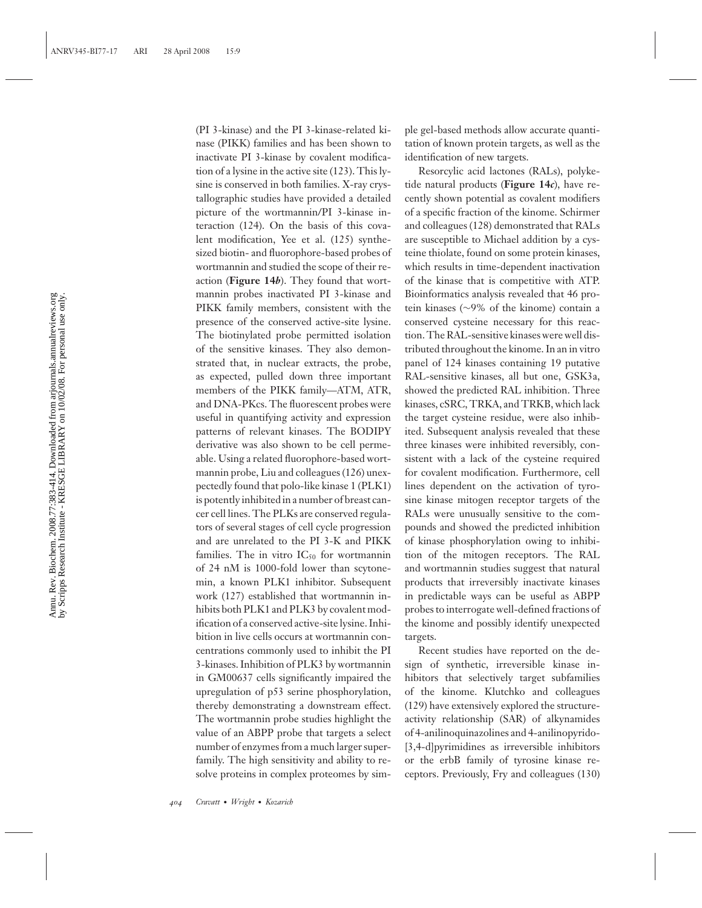(PI 3-kinase) and the PI 3-kinase-related kinase (PIKK) families and has been shown to inactivate PI 3-kinase by covalent modification of a lysine in the active site (123). This lysine is conserved in both families. X-ray crystallographic studies have provided a detailed picture of the wortmannin/PI 3-kinase interaction (124). On the basis of this covalent modification, Yee et al. (125) synthesized biotin- and fluorophore-based probes of wortmannin and studied the scope of their reaction (**Figure 14***b*). They found that wortmannin probes inactivated PI 3-kinase and PIKK family members, consistent with the presence of the conserved active-site lysine. The biotinylated probe permitted isolation of the sensitive kinases. They also demonstrated that, in nuclear extracts, the probe, as expected, pulled down three important members of the PIKK family—ATM, ATR, and DNA-PKcs. The fluorescent probes were useful in quantifying activity and expression patterns of relevant kinases. The BODIPY derivative was also shown to be cell permeable. Using a related fluorophore-based wortmannin probe, Liu and colleagues (126) unexpectedly found that polo-like kinase 1 (PLK1) is potently inhibited in a number of breast cancer cell lines. The PLKs are conserved regulators of several stages of cell cycle progression and are unrelated to the PI 3-K and PIKK families. The in vitro  $IC_{50}$  for wortmannin of 24 nM is 1000-fold lower than scytonemin, a known PLK1 inhibitor. Subsequent work (127) established that wortmannin inhibits both PLK1 and PLK3 by covalent modification of a conserved active-site lysine. Inhibition in live cells occurs at wortmannin concentrations commonly used to inhibit the PI 3-kinases. Inhibition of PLK3 by wortmannin in GM00637 cells significantly impaired the upregulation of p53 serine phosphorylation, thereby demonstrating a downstream effect. The wortmannin probe studies highlight the value of an ABPP probe that targets a select number of enzymes from a much larger superfamily. The high sensitivity and ability to resolve proteins in complex proteomes by sim-

ple gel-based methods allow accurate quantitation of known protein targets, as well as the identification of new targets.

Resorcylic acid lactones (RALs), polyketide natural products (**Figure 14***c*), have recently shown potential as covalent modifiers of a specific fraction of the kinome. Schirmer and colleagues (128) demonstrated that RALs are susceptible to Michael addition by a cysteine thiolate, found on some protein kinases, which results in time-dependent inactivation of the kinase that is competitive with ATP. Bioinformatics analysis revealed that 46 protein kinases (∼9% of the kinome) contain a conserved cysteine necessary for this reaction. The RAL-sensitive kinases were well distributed throughout the kinome. In an in vitro panel of 124 kinases containing 19 putative RAL-sensitive kinases, all but one, GSK3a, showed the predicted RAL inhibition. Three kinases, cSRC, TRKA, and TRKB, which lack the target cysteine residue, were also inhibited. Subsequent analysis revealed that these three kinases were inhibited reversibly, consistent with a lack of the cysteine required for covalent modification. Furthermore, cell lines dependent on the activation of tyrosine kinase mitogen receptor targets of the RALs were unusually sensitive to the compounds and showed the predicted inhibition of kinase phosphorylation owing to inhibition of the mitogen receptors. The RAL and wortmannin studies suggest that natural products that irreversibly inactivate kinases in predictable ways can be useful as ABPP probes to interrogate well-defined fractions of the kinome and possibly identify unexpected targets.

Recent studies have reported on the design of synthetic, irreversible kinase inhibitors that selectively target subfamilies of the kinome. Klutchko and colleagues (129) have extensively explored the structureactivity relationship (SAR) of alkynamides of 4-anilinoquinazolines and 4-anilinopyrido- [3,4-d]pyrimidines as irreversible inhibitors or the erbB family of tyrosine kinase receptors. Previously, Fry and colleagues (130)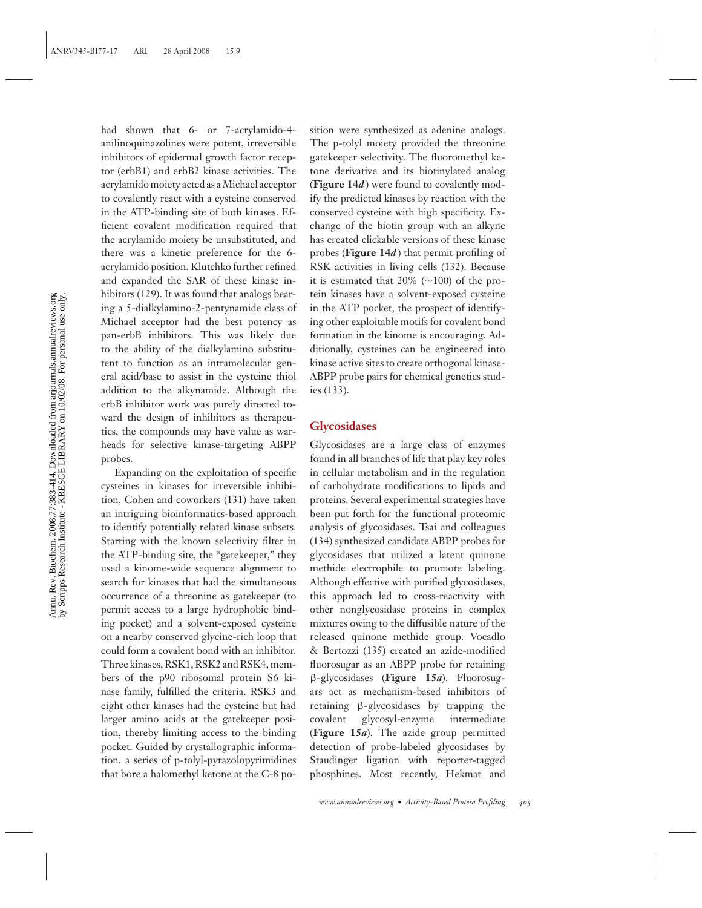had shown that 6- or 7-acrylamido-4 anilinoquinazolines were potent, irreversible inhibitors of epidermal growth factor receptor (erbB1) and erbB2 kinase activities. The acrylamido moiety acted as a Michael acceptor to covalently react with a cysteine conserved in the ATP-binding site of both kinases. Efficient covalent modification required that the acrylamido moiety be unsubstituted, and there was a kinetic preference for the 6 acrylamido position. Klutchko further refined and expanded the SAR of these kinase inhibitors (129). It was found that analogs bearing a 5-dialkylamino-2-pentynamide class of Michael acceptor had the best potency as pan-erbB inhibitors. This was likely due to the ability of the dialkylamino substitutent to function as an intramolecular general acid/base to assist in the cysteine thiol addition to the alkynamide. Although the erbB inhibitor work was purely directed toward the design of inhibitors as therapeutics, the compounds may have value as warheads for selective kinase-targeting ABPP probes.

Expanding on the exploitation of specific cysteines in kinases for irreversible inhibition, Cohen and coworkers (131) have taken an intriguing bioinformatics-based approach to identify potentially related kinase subsets. Starting with the known selectivity filter in the ATP-binding site, the "gatekeeper," they used a kinome-wide sequence alignment to search for kinases that had the simultaneous occurrence of a threonine as gatekeeper (to permit access to a large hydrophobic binding pocket) and a solvent-exposed cysteine on a nearby conserved glycine-rich loop that could form a covalent bond with an inhibitor. Three kinases, RSK1, RSK2 and RSK4, members of the p90 ribosomal protein S6 kinase family, fulfilled the criteria. RSK3 and eight other kinases had the cysteine but had larger amino acids at the gatekeeper position, thereby limiting access to the binding pocket. Guided by crystallographic information, a series of p-tolyl-pyrazolopyrimidines that bore a halomethyl ketone at the C-8 position were synthesized as adenine analogs. The p-tolyl moiety provided the threonine gatekeeper selectivity. The fluoromethyl ketone derivative and its biotinylated analog (**Figure 14***d* ) were found to covalently modify the predicted kinases by reaction with the conserved cysteine with high specificity. Exchange of the biotin group with an alkyne has created clickable versions of these kinase probes (**Figure 14***d* ) that permit profiling of RSK activities in living cells (132). Because it is estimated that 20% (∼100) of the protein kinases have a solvent-exposed cysteine in the ATP pocket, the prospect of identifying other exploitable motifs for covalent bond formation in the kinome is encouraging. Additionally, cysteines can be engineered into kinase active sites to create orthogonal kinase-ABPP probe pairs for chemical genetics studies (133).

## **Glycosidases**

Glycosidases are a large class of enzymes found in all branches of life that play key roles in cellular metabolism and in the regulation of carbohydrate modifications to lipids and proteins. Several experimental strategies have been put forth for the functional proteomic analysis of glycosidases. Tsai and colleagues (134) synthesized candidate ABPP probes for glycosidases that utilized a latent quinone methide electrophile to promote labeling. Although effective with purified glycosidases, this approach led to cross-reactivity with other nonglycosidase proteins in complex mixtures owing to the diffusible nature of the released quinone methide group. Vocadlo & Bertozzi (135) created an azide-modified fluorosugar as an ABPP probe for retaining β-glycosidases (**Figure 15***a*). Fluorosugars act as mechanism-based inhibitors of retaining β-glycosidases by trapping the covalent glycosyl-enzyme intermediate (**Figure 15***a*). The azide group permitted detection of probe-labeled glycosidases by Staudinger ligation with reporter-tagged phosphines. Most recently, Hekmat and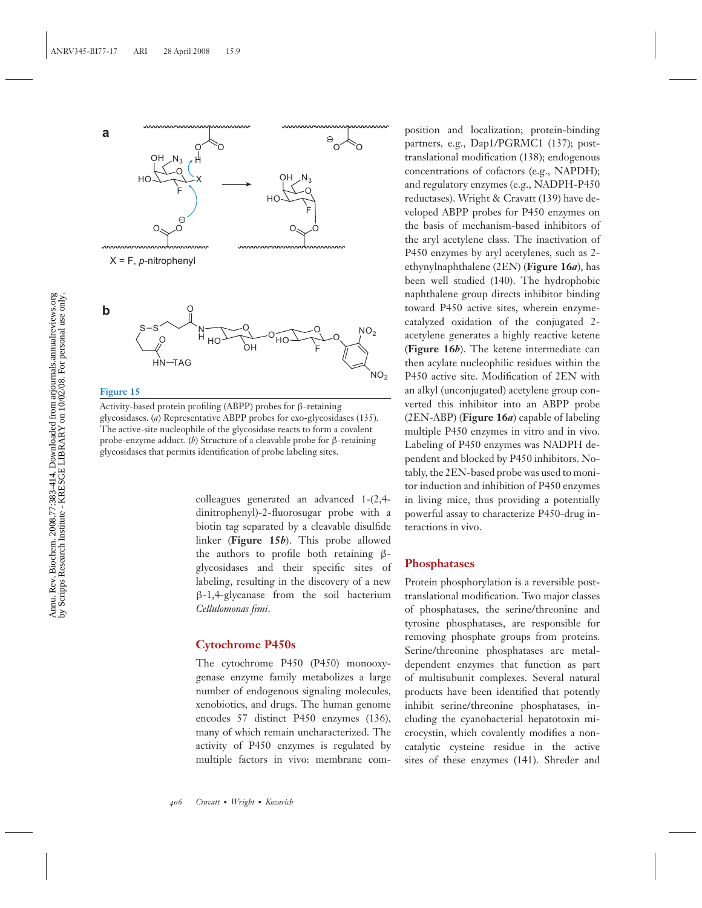

![](_page_23_Figure_2.jpeg)

Activity-based protein profiling (ABPP) probes for β-retaining glycosidases. (*a*) Representative ABPP probes for exo-glycosidases (135). The active-site nucleophile of the glycosidase reacts to form a covalent probe-enzyme adduct. (*b*) Structure of a cleavable probe for β-retaining glycosidases that permits identification of probe labeling sites.

colleagues generated an advanced 1-(2,4 dinitrophenyl)-2-fluorosugar probe with a biotin tag separated by a cleavable disulfide linker (**Figure 15***b*). This probe allowed the authors to profile both retaining βglycosidases and their specific sites of labeling, resulting in the discovery of a new β-1,4-glycanase from the soil bacterium *Cellulomonas fimi*.

## **Cytochrome P450s**

The cytochrome P450 (P450) monooxygenase enzyme family metabolizes a large number of endogenous signaling molecules, xenobiotics, and drugs. The human genome encodes 57 distinct P450 enzymes (136), many of which remain uncharacterized. The activity of P450 enzymes is regulated by multiple factors in vivo: membrane com-

position and localization; protein-binding partners, e.g., Dap1/PGRMC1 (137); posttranslational modification (138); endogenous concentrations of cofactors (e.g., NAPDH); and regulatory enzymes (e.g., NADPH-P450 reductases). Wright & Cravatt (139) have developed ABPP probes for P450 enzymes on the basis of mechanism-based inhibitors of the aryl acetylene class. The inactivation of P450 enzymes by aryl acetylenes, such as 2 ethynylnaphthalene (2EN) (**Figure 16***a*), has been well studied (140). The hydrophobic naphthalene group directs inhibitor binding toward P450 active sites, wherein enzymecatalyzed oxidation of the conjugated 2 acetylene generates a highly reactive ketene (**Figure 16***b*). The ketene intermediate can then acylate nucleophilic residues within the P450 active site. Modification of 2EN with an alkyl (unconjugated) acetylene group converted this inhibitor into an ABPP probe (2EN-ABP) (**Figure 16***a*) capable of labeling multiple P450 enzymes in vitro and in vivo. Labeling of P450 enzymes was NADPH dependent and blocked by P450 inhibitors. Notably, the 2EN-based probe was used to monitor induction and inhibition of P450 enzymes in living mice, thus providing a potentially powerful assay to characterize P450-drug interactions in vivo.

#### **Phosphatases**

Protein phosphorylation is a reversible posttranslational modification. Two major classes of phosphatases, the serine/threonine and tyrosine phosphatases, are responsible for removing phosphate groups from proteins. Serine/threonine phosphatases are metaldependent enzymes that function as part of multisubunit complexes. Several natural products have been identified that potently inhibit serine/threonine phosphatases, including the cyanobacterial hepatotoxin microcystin, which covalently modifies a noncatalytic cysteine residue in the active sites of these enzymes (141). Shreder and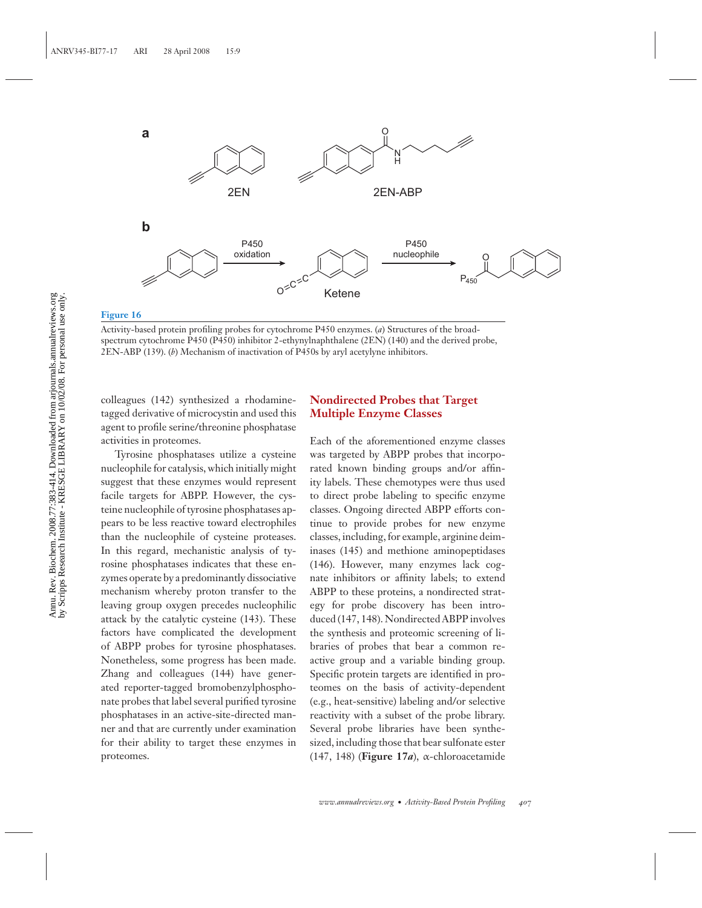![](_page_24_Figure_0.jpeg)

Activity-based protein profiling probes for cytochrome P450 enzymes. (*a*) Structures of the broadspectrum cytochrome P450 (P450) inhibitor 2-ethynylnaphthalene (2EN) (140) and the derived probe, 2EN-ABP (139). (*b*) Mechanism of inactivation of P450s by aryl acetylyne inhibitors.

colleagues (142) synthesized a rhodaminetagged derivative of microcystin and used this agent to profile serine/threonine phosphatase activities in proteomes.

Tyrosine phosphatases utilize a cysteine nucleophile for catalysis, which initially might suggest that these enzymes would represent facile targets for ABPP. However, the cysteine nucleophile of tyrosine phosphatases appears to be less reactive toward electrophiles than the nucleophile of cysteine proteases. In this regard, mechanistic analysis of tyrosine phosphatases indicates that these enzymes operate by a predominantly dissociative mechanism whereby proton transfer to the leaving group oxygen precedes nucleophilic attack by the catalytic cysteine (143). These factors have complicated the development of ABPP probes for tyrosine phosphatases. Nonetheless, some progress has been made. Zhang and colleagues (144) have generated reporter-tagged bromobenzylphosphonate probes that label several purified tyrosine phosphatases in an active-site-directed manner and that are currently under examination for their ability to target these enzymes in proteomes.

## **Nondirected Probes that Target Multiple Enzyme Classes**

Each of the aforementioned enzyme classes was targeted by ABPP probes that incorporated known binding groups and/or affinity labels. These chemotypes were thus used to direct probe labeling to specific enzyme classes. Ongoing directed ABPP efforts continue to provide probes for new enzyme classes, including, for example, arginine deiminases (145) and methione aminopeptidases (146). However, many enzymes lack cognate inhibitors or affinity labels; to extend ABPP to these proteins, a nondirected strategy for probe discovery has been introduced (147, 148). Nondirected ABPP involves the synthesis and proteomic screening of libraries of probes that bear a common reactive group and a variable binding group. Specific protein targets are identified in proteomes on the basis of activity-dependent (e.g., heat-sensitive) labeling and/or selective reactivity with a subset of the probe library. Several probe libraries have been synthesized, including those that bear sulfonate ester (147, 148) (**Figure 17***a*), α-chloroacetamide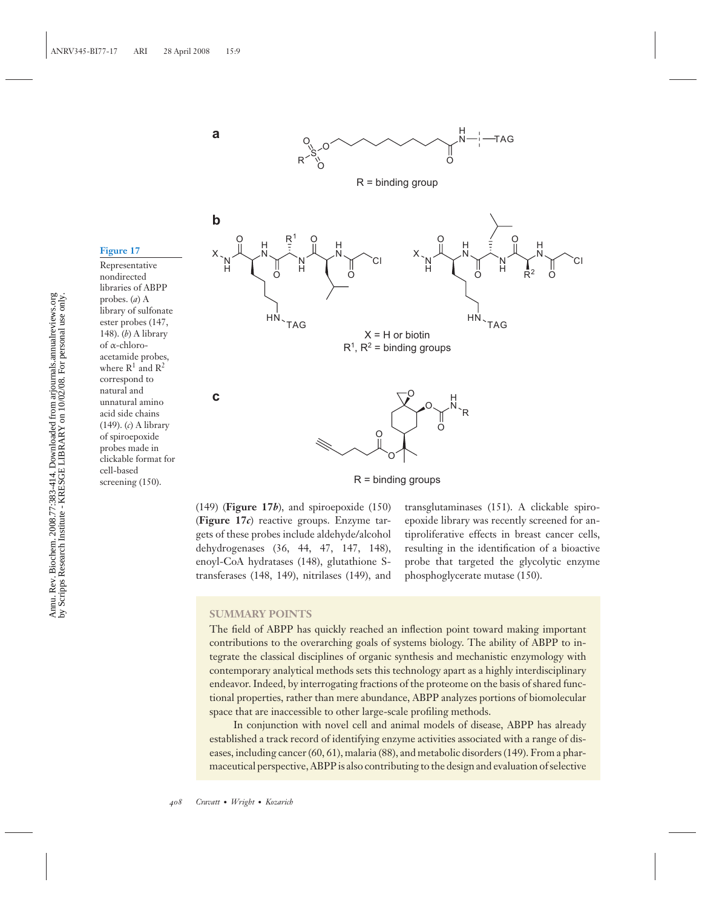![](_page_25_Figure_0.jpeg)

![](_page_25_Figure_1.jpeg)

(149) (**Figure 17***b*), and spiroepoxide (150) (**Figure 17***c*) reactive groups. Enzyme targets of these probes include aldehyde/alcohol dehydrogenases (36, 44, 47, 147, 148), enoyl-CoA hydratases (148), glutathione Stransferases (148, 149), nitrilases (149), and

transglutaminases (151). A clickable spiroepoxide library was recently screened for antiproliferative effects in breast cancer cells, resulting in the identification of a bioactive probe that targeted the glycolytic enzyme phosphoglycerate mutase (150).

## **SUMMARY POINTS**

The field of ABPP has quickly reached an inflection point toward making important contributions to the overarching goals of systems biology. The ability of ABPP to integrate the classical disciplines of organic synthesis and mechanistic enzymology with contemporary analytical methods sets this technology apart as a highly interdisciplinary endeavor. Indeed, by interrogating fractions of the proteome on the basis of shared functional properties, rather than mere abundance, ABPP analyzes portions of biomolecular space that are inaccessible to other large-scale profiling methods.

In conjunction with novel cell and animal models of disease, ABPP has already established a track record of identifying enzyme activities associated with a range of diseases, including cancer (60, 61), malaria (88), and metabolic disorders (149). From a pharmaceutical perspective, ABPP is also contributing to the design and evaluation of selective

## **Figure 17**

Representative nondirected libraries of ABPP probes. (*a*) A library of sulfonate ester probes (147, 148). (*b*) A library of α-chloroacetamide probes, where  $R^1$  and  $R^2$ correspond to natural and unnatural amino acid side chains (149). (*c*) A library of spiroepoxide probes made in clickable format for cell-based screening (150).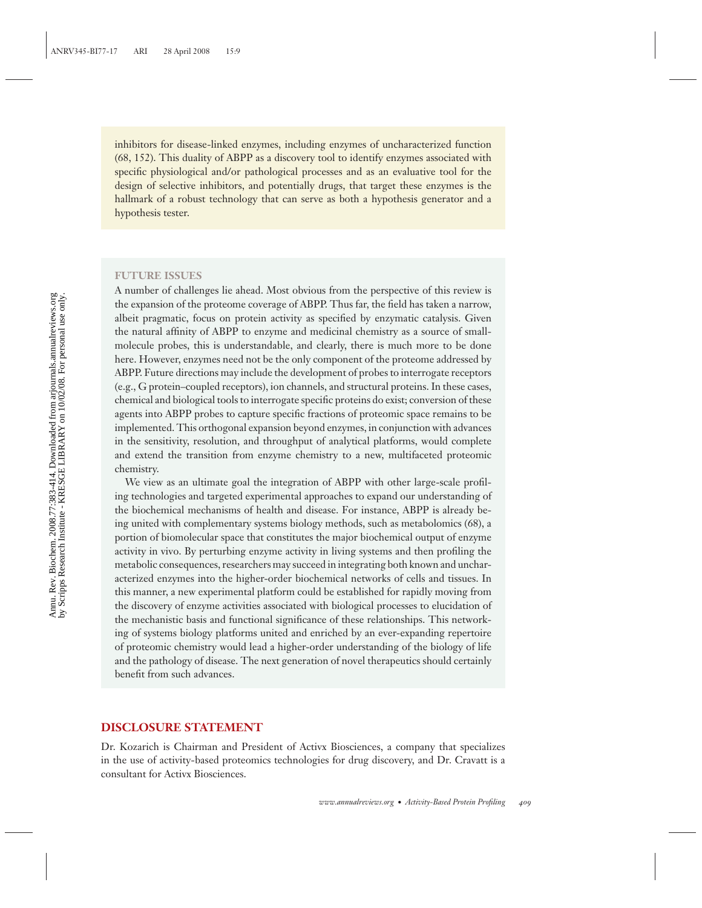inhibitors for disease-linked enzymes, including enzymes of uncharacterized function (68, 152). This duality of ABPP as a discovery tool to identify enzymes associated with specific physiological and/or pathological processes and as an evaluative tool for the design of selective inhibitors, and potentially drugs, that target these enzymes is the hallmark of a robust technology that can serve as both a hypothesis generator and a hypothesis tester.

#### **FUTURE ISSUES**

A number of challenges lie ahead. Most obvious from the perspective of this review is the expansion of the proteome coverage of ABPP. Thus far, the field has taken a narrow, albeit pragmatic, focus on protein activity as specified by enzymatic catalysis. Given the natural affinity of ABPP to enzyme and medicinal chemistry as a source of smallmolecule probes, this is understandable, and clearly, there is much more to be done here. However, enzymes need not be the only component of the proteome addressed by ABPP. Future directions may include the development of probes to interrogate receptors (e.g., G protein–coupled receptors), ion channels, and structural proteins. In these cases, chemical and biological tools to interrogate specific proteins do exist; conversion of these agents into ABPP probes to capture specific fractions of proteomic space remains to be implemented. This orthogonal expansion beyond enzymes, in conjunction with advances in the sensitivity, resolution, and throughput of analytical platforms, would complete and extend the transition from enzyme chemistry to a new, multifaceted proteomic chemistry.

We view as an ultimate goal the integration of ABPP with other large-scale profiling technologies and targeted experimental approaches to expand our understanding of the biochemical mechanisms of health and disease. For instance, ABPP is already being united with complementary systems biology methods, such as metabolomics (68), a portion of biomolecular space that constitutes the major biochemical output of enzyme activity in vivo. By perturbing enzyme activity in living systems and then profiling the metabolic consequences, researchers may succeed in integrating both known and uncharacterized enzymes into the higher-order biochemical networks of cells and tissues. In this manner, a new experimental platform could be established for rapidly moving from the discovery of enzyme activities associated with biological processes to elucidation of the mechanistic basis and functional significance of these relationships. This networking of systems biology platforms united and enriched by an ever-expanding repertoire of proteomic chemistry would lead a higher-order understanding of the biology of life and the pathology of disease. The next generation of novel therapeutics should certainly benefit from such advances.

#### **DISCLOSURE STATEMENT**

Dr. Kozarich is Chairman and President of Activx Biosciences, a company that specializes in the use of activity-based proteomics technologies for drug discovery, and Dr. Cravatt is a consultant for Activx Biosciences.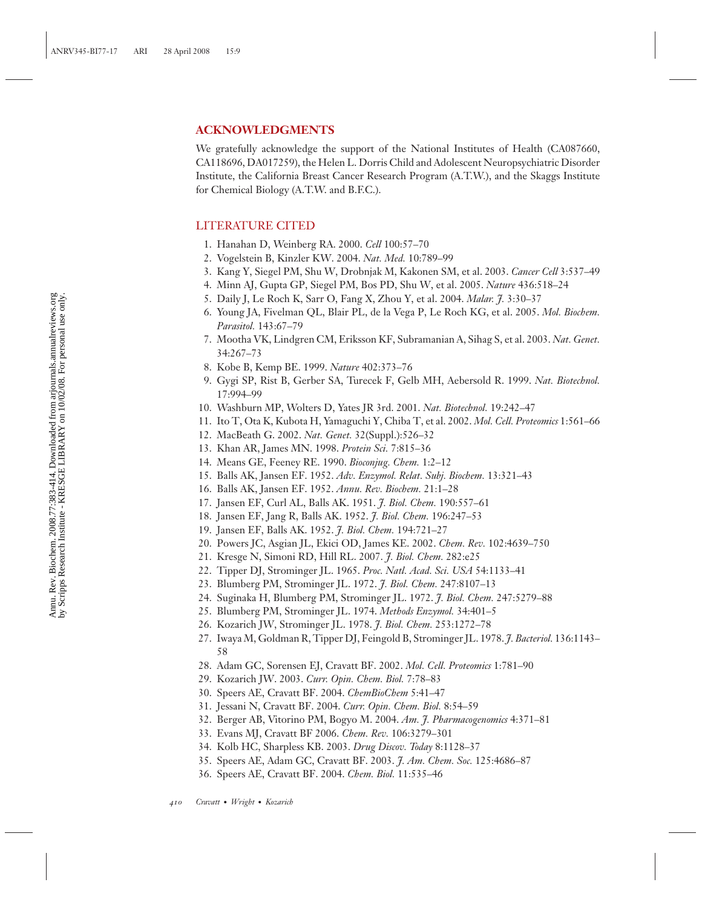## **ACKNOWLEDGMENTS**

We gratefully acknowledge the support of the National Institutes of Health (CA087660, CA118696, DA017259), the Helen L. Dorris Child and Adolescent Neuropsychiatric Disorder Institute, the California Breast Cancer Research Program (A.T.W.), and the Skaggs Institute for Chemical Biology (A.T.W. and B.F.C.).

## LITERATURE CITED

- 1. Hanahan D, Weinberg RA. 2000. *Cell* 100:57–70
- 2. Vogelstein B, Kinzler KW. 2004. *Nat. Med.* 10:789–99
- 3. Kang Y, Siegel PM, Shu W, Drobnjak M, Kakonen SM, et al. 2003. *Cancer Cell* 3:537–49
- 4. Minn AJ, Gupta GP, Siegel PM, Bos PD, Shu W, et al. 2005. *Nature* 436:518–24
- 5. Daily J, Le Roch K, Sarr O, Fang X, Zhou Y, et al. 2004. *Malar. J.* 3:30–37
- 6. Young JA, Fivelman QL, Blair PL, de la Vega P, Le Roch KG, et al. 2005. *Mol. Biochem. Parasitol.* 143:67–79
- 7. Mootha VK, Lindgren CM, Eriksson KF, Subramanian A, Sihag S, et al. 2003. *Nat. Genet.* 34:267–73
- 8. Kobe B, Kemp BE. 1999. *Nature* 402:373–76
- 9. Gygi SP, Rist B, Gerber SA, Turecek F, Gelb MH, Aebersold R. 1999. *Nat. Biotechnol.* 17:994–99
- 10. Washburn MP, Wolters D, Yates JR 3rd. 2001. *Nat. Biotechnol.* 19:242–47
- 11. Ito T, Ota K, Kubota H, Yamaguchi Y, Chiba T, et al. 2002. *Mol. Cell. Proteomics* 1:561–66
- 12. MacBeath G. 2002. *Nat. Genet.* 32(Suppl.):526–32
- 13. Khan AR, James MN. 1998. *Protein Sci.* 7:815–36
- 14. Means GE, Feeney RE. 1990. *Bioconjug. Chem.* 1:2–12
- 15. Balls AK, Jansen EF. 1952. *Adv. Enzymol. Relat. Subj. Biochem.* 13:321–43
- 16. Balls AK, Jansen EF. 1952. *Annu. Rev. Biochem.* 21:1–28
- 17. Jansen EF, Curl AL, Balls AK. 1951. *J. Biol. Chem.* 190:557–61
- 18. Jansen EF, Jang R, Balls AK. 1952. *J. Biol. Chem.* 196:247–53
- 19. Jansen EF, Balls AK. 1952. *J. Biol. Chem.* 194:721–27
- 20. Powers JC, Asgian JL, Ekici OD, James KE. 2002. *Chem. Rev.* 102:4639–750
- 21. Kresge N, Simoni RD, Hill RL. 2007. *J. Biol. Chem.* 282:e25
- 22. Tipper DJ, Strominger JL. 1965. *Proc. Natl. Acad. Sci. USA* 54:1133–41
- 23. Blumberg PM, Strominger JL. 1972. *J. Biol. Chem.* 247:8107–13
- 24. Suginaka H, Blumberg PM, Strominger JL. 1972. *J. Biol. Chem.* 247:5279–88
- 25. Blumberg PM, Strominger JL. 1974. *Methods Enzymol.* 34:401–5
- 26. Kozarich JW, Strominger JL. 1978. *J. Biol. Chem.* 253:1272–78
- 27. Iwaya M, Goldman R, Tipper DJ, Feingold B, Strominger JL. 1978. *J. Bacteriol.* 136:1143– 58
- 28. Adam GC, Sorensen EJ, Cravatt BF. 2002. *Mol. Cell. Proteomics* 1:781–90
- 29. Kozarich JW. 2003. *Curr. Opin. Chem. Biol.* 7:78–83
- 30. Speers AE, Cravatt BF. 2004. *ChemBioChem* 5:41–47
- 31. Jessani N, Cravatt BF. 2004. *Curr. Opin. Chem. Biol.* 8:54–59
- 32. Berger AB, Vitorino PM, Bogyo M. 2004. *Am. J. Pharmacogenomics* 4:371–81
- 33. Evans MJ, Cravatt BF 2006. *Chem. Rev.* 106:3279–301
- 34. Kolb HC, Sharpless KB. 2003. *Drug Discov. Today* 8:1128–37
- 35. Speers AE, Adam GC, Cravatt BF. 2003. *J. Am. Chem. Soc.* 125:4686–87
- 36. Speers AE, Cravatt BF. 2004. *Chem. Biol.* 11:535–46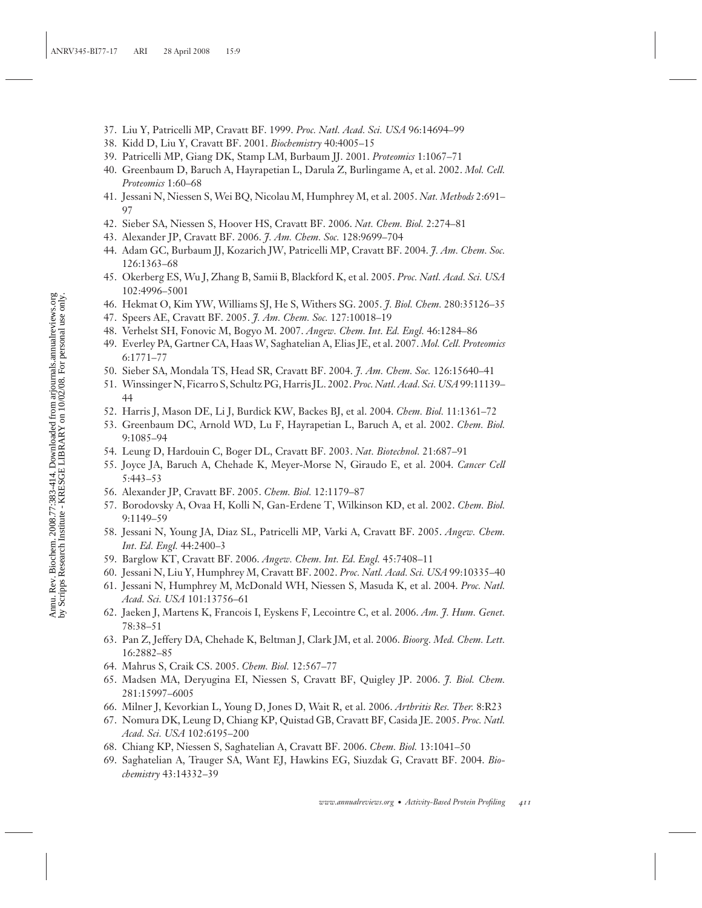- 37. Liu Y, Patricelli MP, Cravatt BF. 1999. *Proc. Natl. Acad. Sci. USA* 96:14694–99
- 38. Kidd D, Liu Y, Cravatt BF. 2001. *Biochemistry* 40:4005–15
- 39. Patricelli MP, Giang DK, Stamp LM, Burbaum JJ. 2001. *Proteomics* 1:1067–71
- 40. Greenbaum D, Baruch A, Hayrapetian L, Darula Z, Burlingame A, et al. 2002. *Mol. Cell. Proteomics* 1:60–68
- 41. Jessani N, Niessen S, Wei BQ, Nicolau M, Humphrey M, et al. 2005. *Nat. Methods* 2:691– 97
- 42. Sieber SA, Niessen S, Hoover HS, Cravatt BF. 2006. *Nat. Chem. Biol.* 2:274–81
- 43. Alexander JP, Cravatt BF. 2006. *J. Am. Chem. Soc.* 128:9699–704
- 44. Adam GC, Burbaum JJ, Kozarich JW, Patricelli MP, Cravatt BF. 2004. *J. Am. Chem. Soc.* 126:1363–68
- 45. Okerberg ES, Wu J, Zhang B, Samii B, Blackford K, et al. 2005. *Proc. Natl. Acad. Sci. USA* 102:4996–5001
- 46. Hekmat O, Kim YW, Williams SJ, He S, Withers SG. 2005. *J. Biol. Chem.* 280:35126–35
- 47. Speers AE, Cravatt BF. 2005. *J. Am. Chem. Soc.* 127:10018–19
- 48. Verhelst SH, Fonovic M, Bogyo M. 2007. *Angew. Chem. Int. Ed. Engl.* 46:1284–86
- 49. Everley PA, Gartner CA, Haas W, Saghatelian A, Elias JE, et al. 2007. *Mol. Cell. Proteomics* 6:1771–77
- 50. Sieber SA, Mondala TS, Head SR, Cravatt BF. 2004. *J. Am. Chem. Soc.* 126:15640–41
- 51. Winssinger N, Ficarro S, Schultz PG, Harris JL. 2002. *Proc. Natl. Acad. Sci. USA*99:11139– 44
- 52. Harris J, Mason DE, Li J, Burdick KW, Backes BJ, et al. 2004. *Chem. Biol.* 11:1361–72
- 53. Greenbaum DC, Arnold WD, Lu F, Hayrapetian L, Baruch A, et al. 2002. *Chem. Biol.* 9:1085–94
- 54. Leung D, Hardouin C, Boger DL, Cravatt BF. 2003. *Nat. Biotechnol.* 21:687–91
- 55. Joyce JA, Baruch A, Chehade K, Meyer-Morse N, Giraudo E, et al. 2004. *Cancer Cell* 5:443–53
- 56. Alexander JP, Cravatt BF. 2005. *Chem. Biol.* 12:1179–87
- 57. Borodovsky A, Ovaa H, Kolli N, Gan-Erdene T, Wilkinson KD, et al. 2002. *Chem. Biol.* 9:1149–59
- 58. Jessani N, Young JA, Diaz SL, Patricelli MP, Varki A, Cravatt BF. 2005. *Angew. Chem. Int. Ed. Engl.* 44:2400–3
- 59. Barglow KT, Cravatt BF. 2006. *Angew. Chem. Int. Ed. Engl.* 45:7408–11
- 60. Jessani N, Liu Y, Humphrey M, Cravatt BF. 2002. *Proc. Natl. Acad. Sci. USA* 99:10335–40
- 61. Jessani N, Humphrey M, McDonald WH, Niessen S, Masuda K, et al. 2004. *Proc. Natl. Acad. Sci. USA* 101:13756–61
- 62. Jaeken J, Martens K, Francois I, Eyskens F, Lecointre C, et al. 2006. *Am. J. Hum. Genet.* 78:38–51
- 63. Pan Z, Jeffery DA, Chehade K, Beltman J, Clark JM, et al. 2006. *Bioorg. Med. Chem. Lett.* 16:2882–85
- 64. Mahrus S, Craik CS. 2005. *Chem. Biol.* 12:567–77
- 65. Madsen MA, Deryugina EI, Niessen S, Cravatt BF, Quigley JP. 2006. *J. Biol. Chem.* 281:15997–6005
- 66. Milner J, Kevorkian L, Young D, Jones D, Wait R, et al. 2006. *Arthritis Res. Ther.* 8:R23
- 67. Nomura DK, Leung D, Chiang KP, Quistad GB, Cravatt BF, Casida JE. 2005. *Proc. Natl. Acad. Sci. USA* 102:6195–200
- 68. Chiang KP, Niessen S, Saghatelian A, Cravatt BF. 2006. *Chem. Biol.* 13:1041–50
- 69. Saghatelian A, Trauger SA, Want EJ, Hawkins EG, Siuzdak G, Cravatt BF. 2004. *Biochemistry* 43:14332–39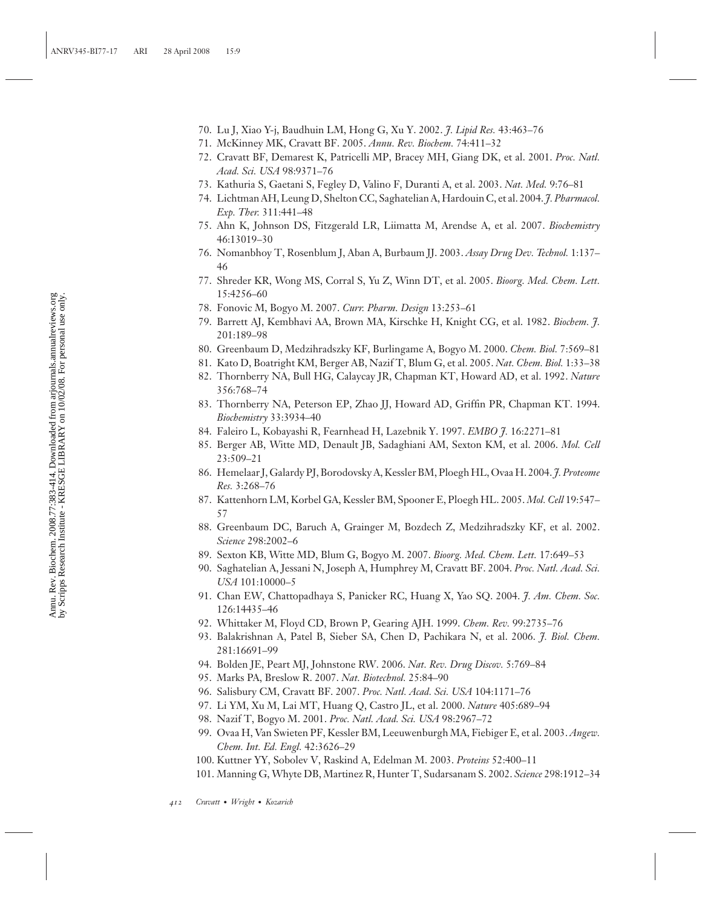- 70. Lu J, Xiao Y-j, Baudhuin LM, Hong G, Xu Y. 2002. *J. Lipid Res.* 43:463–76
- 71. McKinney MK, Cravatt BF. 2005. *Annu. Rev. Biochem.* 74:411–32
- 72. Cravatt BF, Demarest K, Patricelli MP, Bracey MH, Giang DK, et al. 2001. *Proc. Natl. Acad. Sci. USA* 98:9371–76
- 73. Kathuria S, Gaetani S, Fegley D, Valino F, Duranti A, et al. 2003. *Nat. Med.* 9:76–81
- 74. Lichtman AH, Leung D, Shelton CC, Saghatelian A, Hardouin C, et al. 2004. *J. Pharmacol. Exp. Ther.* 311:441–48
- 75. Ahn K, Johnson DS, Fitzgerald LR, Liimatta M, Arendse A, et al. 2007. *Biochemistry* 46:13019–30
- 76. Nomanbhoy T, Rosenblum J, Aban A, Burbaum JJ. 2003. *Assay Drug Dev. Technol.* 1:137– 46
- 77. Shreder KR, Wong MS, Corral S, Yu Z, Winn DT, et al. 2005. *Bioorg. Med. Chem. Lett.* 15:4256–60
- 78. Fonovic M, Bogyo M. 2007. *Curr. Pharm. Design* 13:253–61
- 79. Barrett AJ, Kembhavi AA, Brown MA, Kirschke H, Knight CG, et al. 1982. *Biochem. J.* 201:189–98
- 80. Greenbaum D, Medzihradszky KF, Burlingame A, Bogyo M. 2000. *Chem. Biol.* 7:569–81
- 81. Kato D, Boatright KM, Berger AB, Nazif T, Blum G, et al. 2005. *Nat. Chem. Biol.* 1:33–38
- 82. Thornberry NA, Bull HG, Calaycay JR, Chapman KT, Howard AD, et al. 1992. *Nature* 356:768–74
- 83. Thornberry NA, Peterson EP, Zhao JJ, Howard AD, Griffin PR, Chapman KT. 1994. *Biochemistry* 33:3934–40
- 84. Faleiro L, Kobayashi R, Fearnhead H, Lazebnik Y. 1997. *EMBO J.* 16:2271–81
- 85. Berger AB, Witte MD, Denault JB, Sadaghiani AM, Sexton KM, et al. 2006. *Mol. Cell* 23:509–21
- 86. Hemelaar J, Galardy PJ, Borodovsky A, Kessler BM, Ploegh HL, Ovaa H. 2004. *J. Proteome Res.* 3:268–76
- 87. Kattenhorn LM, Korbel GA, Kessler BM, Spooner E, Ploegh HL. 2005. *Mol. Cell* 19:547– 57
- 88. Greenbaum DC, Baruch A, Grainger M, Bozdech Z, Medzihradszky KF, et al. 2002. *Science* 298:2002–6
- 89. Sexton KB, Witte MD, Blum G, Bogyo M. 2007. *Bioorg. Med. Chem. Lett.* 17:649–53
- 90. Saghatelian A, Jessani N, Joseph A, Humphrey M, Cravatt BF. 2004. *Proc. Natl. Acad. Sci. USA* 101:10000–5
- 91. Chan EW, Chattopadhaya S, Panicker RC, Huang X, Yao SQ. 2004. *J. Am. Chem. Soc.* 126:14435–46
- 92. Whittaker M, Floyd CD, Brown P, Gearing AJH. 1999. *Chem. Rev.* 99:2735–76
- 93. Balakrishnan A, Patel B, Sieber SA, Chen D, Pachikara N, et al. 2006. *J. Biol. Chem.* 281:16691–99
- 94. Bolden JE, Peart MJ, Johnstone RW. 2006. *Nat. Rev. Drug Discov.* 5:769–84
- 95. Marks PA, Breslow R. 2007. *Nat. Biotechnol.* 25:84–90
- 96. Salisbury CM, Cravatt BF. 2007. *Proc. Natl. Acad. Sci. USA* 104:1171–76
- 97. Li YM, Xu M, Lai MT, Huang Q, Castro JL, et al. 2000. *Nature* 405:689–94
- 98. Nazif T, Bogyo M. 2001. *Proc. Natl. Acad. Sci. USA* 98:2967–72
- 99. Ovaa H, Van Swieten PF, Kessler BM, Leeuwenburgh MA, Fiebiger E, et al. 2003. *Angew. Chem. Int. Ed. Engl.* 42:3626–29
- 100. Kuttner YY, Sobolev V, Raskind A, Edelman M. 2003. *Proteins* 52:400–11
- 101. Manning G, Whyte DB, Martinez R, Hunter T, Sudarsanam S. 2002. *Science* 298:1912–34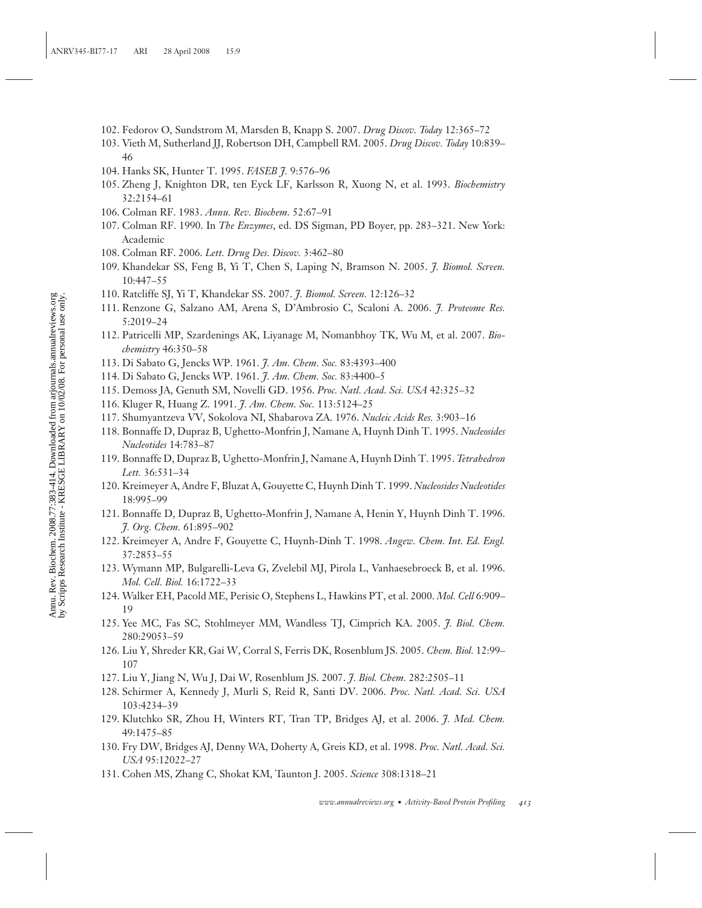- 102. Fedorov O, Sundstrom M, Marsden B, Knapp S. 2007. *Drug Discov. Today* 12:365–72
- 103. Vieth M, Sutherland JJ, Robertson DH, Campbell RM. 2005. *Drug Discov. Today* 10:839– 46
- 104. Hanks SK, Hunter T. 1995. *FASEB J.* 9:576–96
- 105. Zheng J, Knighton DR, ten Eyck LF, Karlsson R, Xuong N, et al. 1993. *Biochemistry* 32:2154–61
- 106. Colman RF. 1983. *Annu. Rev. Biochem.* 52:67–91
- 107. Colman RF. 1990. In *The Enzymes*, ed. DS Sigman, PD Boyer, pp. 283–321. New York: Academic
- 108. Colman RF. 2006. *Lett. Drug Des. Discov.* 3:462–80
- 109. Khandekar SS, Feng B, Yi T, Chen S, Laping N, Bramson N. 2005. *J. Biomol. Screen.* 10:447–55
- 110. Ratcliffe SJ, Yi T, Khandekar SS. 2007. *J. Biomol. Screen.* 12:126–32
- 111. Renzone G, Salzano AM, Arena S, D'Ambrosio C, Scaloni A. 2006. *J. Proteome Res.* 5:2019–24
- 112. Patricelli MP, Szardenings AK, Liyanage M, Nomanbhoy TK, Wu M, et al. 2007. *Biochemistry* 46:350–58
- 113. Di Sabato G, Jencks WP. 1961. *J. Am. Chem. Soc.* 83:4393–400
- 114. Di Sabato G, Jencks WP. 1961. *J. Am. Chem. Soc.* 83:4400–5
- 115. Demoss JA, Genuth SM, Novelli GD. 1956. *Proc. Natl. Acad. Sci. USA* 42:325–32
- 116. Kluger R, Huang Z. 1991. *J. Am. Chem. Soc.* 113:5124–25
- 117. Shumyantzeva VV, Sokolova NI, Shabarova ZA. 1976. *Nucleic Acids Res.* 3:903–16
- 118. Bonnaffe D, Dupraz B, Ughetto-Monfrin J, Namane A, Huynh Dinh T. 1995. *Nucleosides Nucleotides* 14:783–87
- 119. Bonnaffe D, Dupraz B, Ughetto-Monfrin J, Namane A, Huynh Dinh T. 1995. *Tetrahedron Lett.* 36:531–34
- 120. Kreimeyer A, Andre F, Bluzat A, Gouyette C, Huynh Dinh T. 1999. *Nucleosides Nucleotides* 18:995–99
- 121. Bonnaffe D, Dupraz B, Ughetto-Monfrin J, Namane A, Henin Y, Huynh Dinh T. 1996. *J. Org. Chem.* 61:895–902
- 122. Kreimeyer A, Andre F, Gouyette C, Huynh-Dinh T. 1998. *Angew. Chem. Int. Ed. Engl.* 37:2853–55
- 123. Wymann MP, Bulgarelli-Leva G, Zvelebil MJ, Pirola L, Vanhaesebroeck B, et al. 1996. *Mol. Cell. Biol.* 16:1722–33
- 124. Walker EH, Pacold ME, Perisic O, Stephens L, Hawkins PT, et al. 2000. *Mol. Cell* 6:909– 19
- 125. Yee MC, Fas SC, Stohlmeyer MM, Wandless TJ, Cimprich KA. 2005. *J. Biol. Chem.* 280:29053–59
- 126. Liu Y, Shreder KR, Gai W, Corral S, Ferris DK, Rosenblum JS. 2005. *Chem. Biol.* 12:99– 107
- 127. Liu Y, Jiang N, Wu J, Dai W, Rosenblum JS. 2007. *J. Biol. Chem.* 282:2505–11
- 128. Schirmer A, Kennedy J, Murli S, Reid R, Santi DV. 2006. *Proc. Natl. Acad. Sci. USA* 103:4234–39
- 129. Klutchko SR, Zhou H, Winters RT, Tran TP, Bridges AJ, et al. 2006. *J. Med. Chem.* 49:1475–85
- 130. Fry DW, Bridges AJ, Denny WA, Doherty A, Greis KD, et al. 1998. *Proc. Natl. Acad. Sci. USA* 95:12022–27
- 131. Cohen MS, Zhang C, Shokat KM, Taunton J. 2005. *Science* 308:1318–21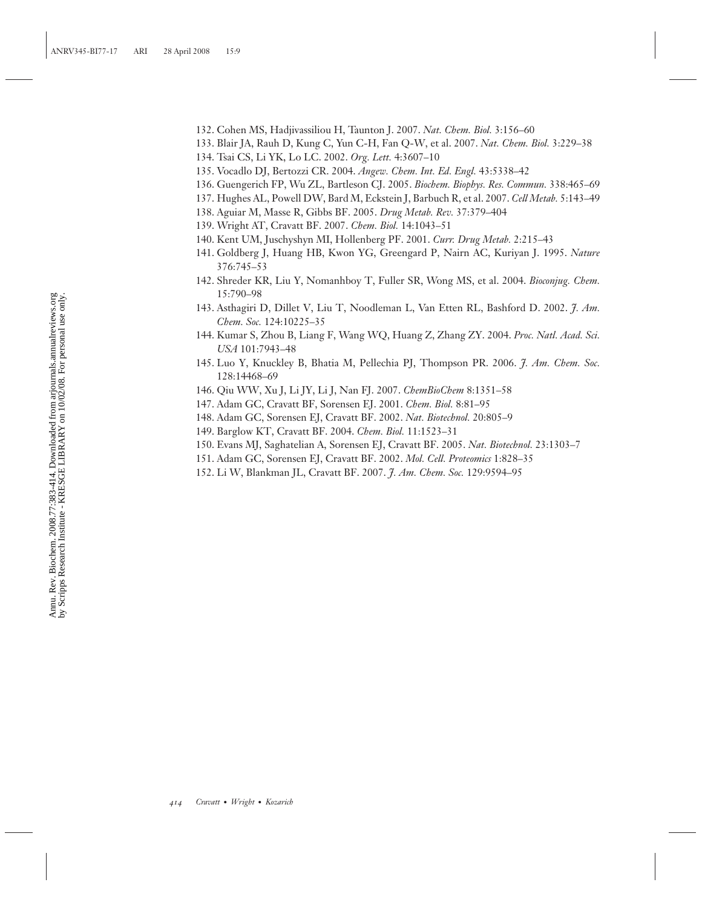- 132. Cohen MS, Hadjivassiliou H, Taunton J. 2007. *Nat. Chem. Biol.* 3:156–60
- 133. Blair JA, Rauh D, Kung C, Yun C-H, Fan Q-W, et al. 2007. *Nat. Chem. Biol.* 3:229–38
- 134. Tsai CS, Li YK, Lo LC. 2002. *Org. Lett.* 4:3607–10
- 135. Vocadlo DJ, Bertozzi CR. 2004. *Angew. Chem. Int. Ed. Engl.* 43:5338–42
- 136. Guengerich FP, Wu ZL, Bartleson CJ. 2005. *Biochem. Biophys. Res. Commun.* 338:465–69
- 137. Hughes AL, Powell DW, Bard M, Eckstein J, Barbuch R, et al. 2007. *Cell Metab.* 5:143–49
- 138. Aguiar M, Masse R, Gibbs BF. 2005. *Drug Metab. Rev.* 37:379–404
- 139. Wright AT, Cravatt BF. 2007. *Chem. Biol.* 14:1043–51
- 140. Kent UM, Juschyshyn MI, Hollenberg PF. 2001. *Curr. Drug Metab.* 2:215–43
- 141. Goldberg J, Huang HB, Kwon YG, Greengard P, Nairn AC, Kuriyan J. 1995. *Nature* 376:745–53
- 142. Shreder KR, Liu Y, Nomanhboy T, Fuller SR, Wong MS, et al. 2004. *Bioconjug. Chem.* 15:790–98
- 143. Asthagiri D, Dillet V, Liu T, Noodleman L, Van Etten RL, Bashford D. 2002. *J. Am. Chem. Soc.* 124:10225–35
- 144. Kumar S, Zhou B, Liang F, Wang WQ, Huang Z, Zhang ZY. 2004. *Proc. Natl. Acad. Sci. USA* 101:7943–48
- 145. Luo Y, Knuckley B, Bhatia M, Pellechia PJ, Thompson PR. 2006. *J. Am. Chem. Soc.* 128:14468–69
- 146. Qiu WW, Xu J, Li JY, Li J, Nan FJ. 2007. *ChemBioChem* 8:1351–58
- 147. Adam GC, Cravatt BF, Sorensen EJ. 2001. *Chem. Biol.* 8:81–95
- 148. Adam GC, Sorensen EJ, Cravatt BF. 2002. *Nat. Biotechnol.* 20:805–9
- 149. Barglow KT, Cravatt BF. 2004. *Chem. Biol.* 11:1523–31
- 150. Evans MJ, Saghatelian A, Sorensen EJ, Cravatt BF. 2005. *Nat. Biotechnol.* 23:1303–7
- 151. Adam GC, Sorensen EJ, Cravatt BF. 2002. *Mol. Cell. Proteomics* 1:828–35
- 152. Li W, Blankman JL, Cravatt BF. 2007. *J. Am. Chem. Soc.* 129:9594–95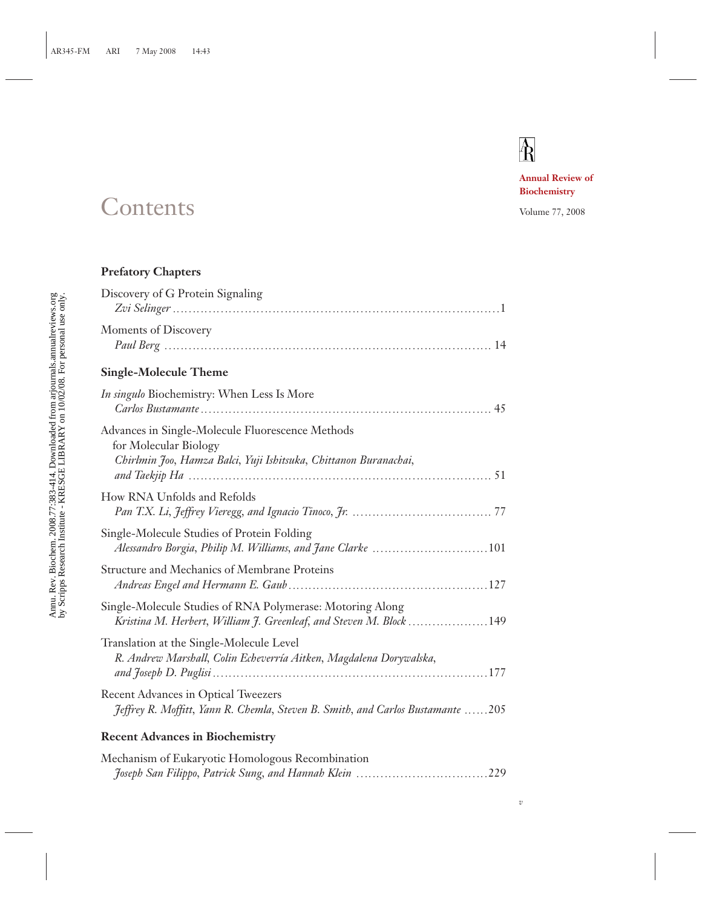# $\overline{\text{R}}$

*v*

**Annual Review of Biochemistry**

# Contents Volume 77, 2008

## **Prefatory Chapters**

| Discovery of G Protein Signaling                                                                                                              |
|-----------------------------------------------------------------------------------------------------------------------------------------------|
| Moments of Discovery                                                                                                                          |
| <b>Single-Molecule Theme</b>                                                                                                                  |
| In singulo Biochemistry: When Less Is More                                                                                                    |
| Advances in Single-Molecule Fluorescence Methods<br>for Molecular Biology<br>Chirlmin Joo, Hamza Balci, Yuji Ishitsuka, Chittanon Buranachai, |
| How RNA Unfolds and Refolds                                                                                                                   |
| Single-Molecule Studies of Protein Folding<br>Alessandro Borgia, Philip M. Williams, and Jane Clarke 101                                      |
| Structure and Mechanics of Membrane Proteins                                                                                                  |
| Single-Molecule Studies of RNA Polymerase: Motoring Along<br>Kristina M. Herbert, William J. Greenleaf, and Steven M. Block 149               |
| Translation at the Single-Molecule Level<br>R. Andrew Marshall, Colin Echeverría Aitken, Magdalena Dorywalska,                                |
| <b>Recent Advances in Optical Tweezers</b><br>Jeffrey R. Moffitt, Yann R. Chemla, Steven B. Smith, and Carlos Bustamante 205                  |
| <b>Recent Advances in Biochemistry</b>                                                                                                        |
|                                                                                                                                               |

# Mechanism of Eukaryotic Homologous Recombination *Joseph San Filippo, Patrick Sung, and Hannah Klein* **♣♣♣♣♣♣♣♣♣♣♣♣♣♣♣♣♣♣♣♣♣♣♣♣♣♣♣♣♣♣♣♣♣**229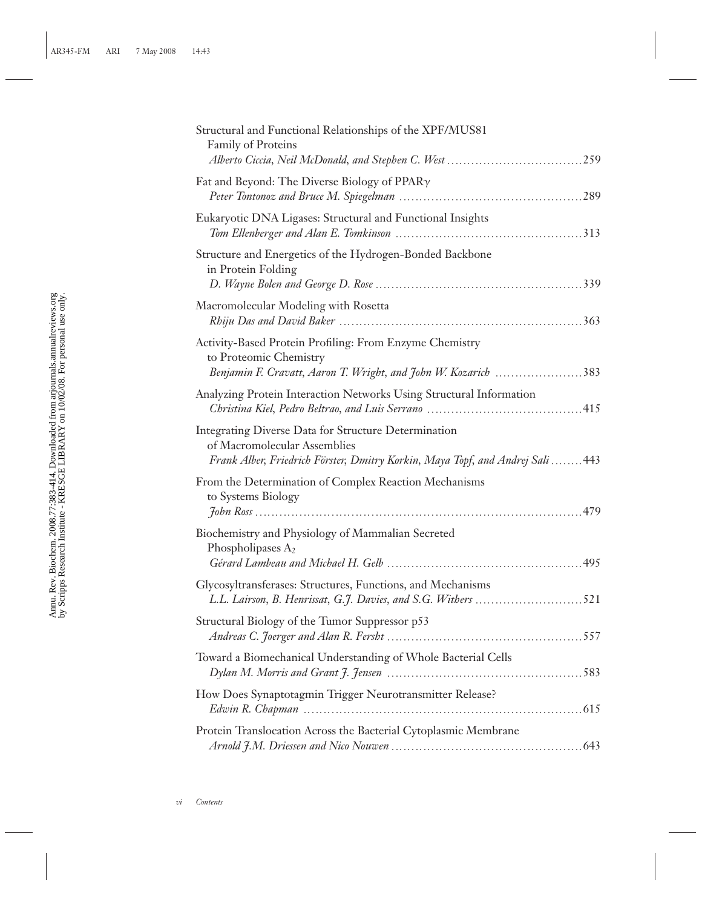| Structural and Functional Relationships of the XPF/MUS81<br>Family of Proteins                                                                                               |
|------------------------------------------------------------------------------------------------------------------------------------------------------------------------------|
| Fat and Beyond: The Diverse Biology of PPARγ                                                                                                                                 |
| Eukaryotic DNA Ligases: Structural and Functional Insights                                                                                                                   |
| Structure and Energetics of the Hydrogen-Bonded Backbone<br>in Protein Folding                                                                                               |
| Macromolecular Modeling with Rosetta                                                                                                                                         |
| Activity-Based Protein Profiling: From Enzyme Chemistry<br>to Proteomic Chemistry<br>Benjamin F. Cravatt, Aaron T. Wright, and John W. Kozarich 383                          |
| Analyzing Protein Interaction Networks Using Structural Information                                                                                                          |
| <b>Integrating Diverse Data for Structure Determination</b><br>of Macromolecular Assemblies<br>Frank Alber, Friedrich Förster, Dmitry Korkin, Maya Topf, and Andrej Sali 443 |
| From the Determination of Complex Reaction Mechanisms<br>to Systems Biology                                                                                                  |
| Biochemistry and Physiology of Mammalian Secreted<br>Phospholipases $A_2$                                                                                                    |
| Glycosyltransferases: Structures, Functions, and Mechanisms<br>L.L. Lairson, B. Henrissat, G.J. Davies, and S.G. Withers 521                                                 |
| Structural Biology of the Tumor Suppressor p53<br>$\ldots$ . 557                                                                                                             |
| Toward a Biomechanical Understanding of Whole Bacterial Cells                                                                                                                |
| How Does Synaptotagmin Trigger Neurotransmitter Release?                                                                                                                     |
| Protein Translocation Across the Bacterial Cytoplasmic Membrane                                                                                                              |
|                                                                                                                                                                              |